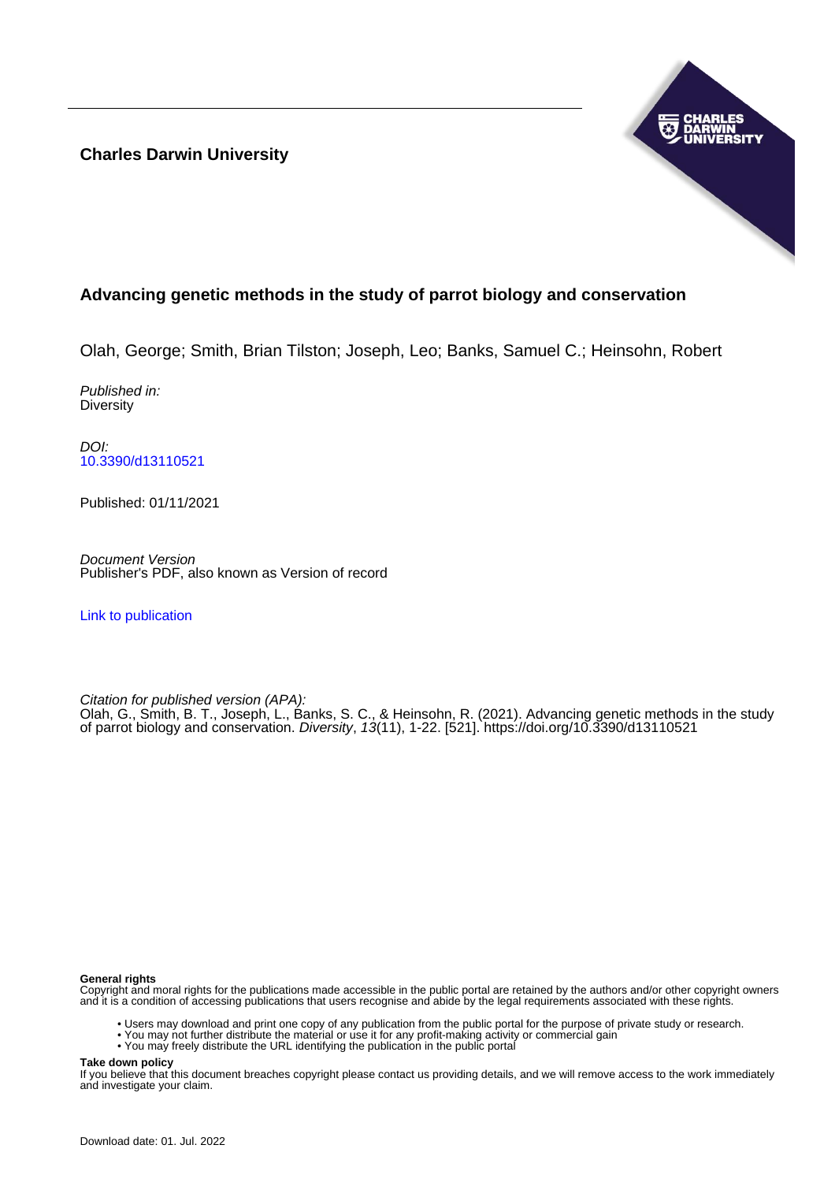**Charles Darwin University**



## **Advancing genetic methods in the study of parrot biology and conservation**

Olah, George; Smith, Brian Tilston; Joseph, Leo; Banks, Samuel C.; Heinsohn, Robert

Published in: **Diversity** 

DOI: [10.3390/d13110521](https://doi.org/10.3390/d13110521)

Published: 01/11/2021

Document Version Publisher's PDF, also known as Version of record

[Link to publication](https://researchers.cdu.edu.au/en/publications/07c1ddf2-9ad0-4f86-971e-63001c691e54)

Citation for published version (APA):

Olah, G., Smith, B. T., Joseph, L., Banks, S. C., & Heinsohn, R. (2021). Advancing genetic methods in the study of parrot biology and conservation. Diversity, 13(11), 1-22. [521]. <https://doi.org/10.3390/d13110521>

#### **General rights**

Copyright and moral rights for the publications made accessible in the public portal are retained by the authors and/or other copyright owners and it is a condition of accessing publications that users recognise and abide by the legal requirements associated with these rights.

- Users may download and print one copy of any publication from the public portal for the purpose of private study or research.
- You may not further distribute the material or use it for any profit-making activity or commercial gain
- You may freely distribute the URL identifying the publication in the public portal

**Take down policy**

If you believe that this document breaches copyright please contact us providing details, and we will remove access to the work immediately and investigate your claim.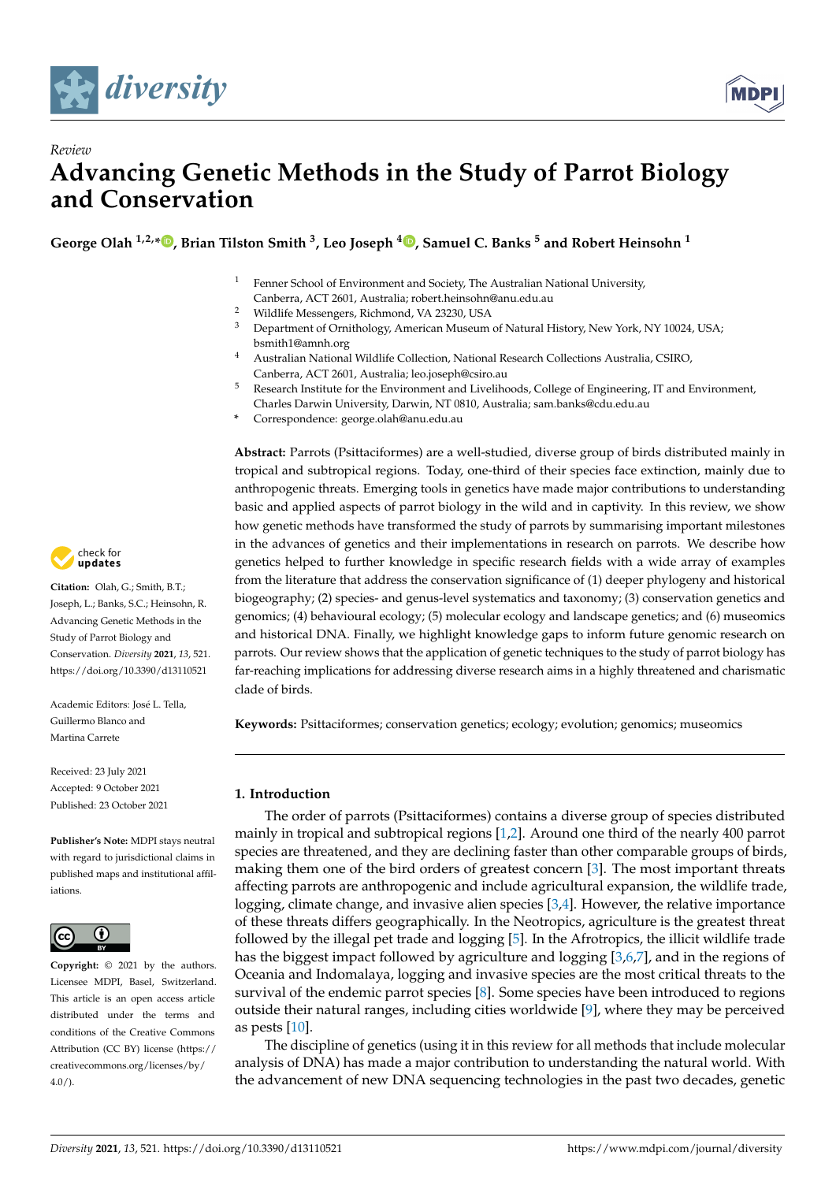



# *Review* **Advancing Genetic Methods in the Study of Parrot Biology and Conservation**

**George Olah 1,2,\* [,](https://orcid.org/0000-0002-7935-8843) Brian Tilston Smith <sup>3</sup> , Leo Joseph <sup>4</sup> [,](https://orcid.org/0000-0001-7564-1978) Samuel C. Banks <sup>5</sup> and Robert Heinsohn <sup>1</sup>**

- <sup>1</sup> Fenner School of Environment and Society, The Australian National University,
- Canberra, ACT 2601, Australia; robert.heinsohn@anu.edu.au
- <sup>2</sup> Wildlife Messengers, Richmond, VA 23230, USA
- <sup>3</sup> Department of Ornithology, American Museum of Natural History, New York, NY 10024, USA; bsmith1@amnh.org
- <sup>4</sup> Australian National Wildlife Collection, National Research Collections Australia, CSIRO, Canberra, ACT 2601, Australia; leo.joseph@csiro.au
- <sup>5</sup> Research Institute for the Environment and Livelihoods, College of Engineering, IT and Environment, Charles Darwin University, Darwin, NT 0810, Australia; sam.banks@cdu.edu.au
- **\*** Correspondence: george.olah@anu.edu.au

**Abstract:** Parrots (Psittaciformes) are a well-studied, diverse group of birds distributed mainly in tropical and subtropical regions. Today, one-third of their species face extinction, mainly due to anthropogenic threats. Emerging tools in genetics have made major contributions to understanding basic and applied aspects of parrot biology in the wild and in captivity. In this review, we show how genetic methods have transformed the study of parrots by summarising important milestones in the advances of genetics and their implementations in research on parrots. We describe how genetics helped to further knowledge in specific research fields with a wide array of examples from the literature that address the conservation significance of (1) deeper phylogeny and historical biogeography; (2) species- and genus-level systematics and taxonomy; (3) conservation genetics and genomics; (4) behavioural ecology; (5) molecular ecology and landscape genetics; and (6) museomics and historical DNA. Finally, we highlight knowledge gaps to inform future genomic research on parrots. Our review shows that the application of genetic techniques to the study of parrot biology has far-reaching implications for addressing diverse research aims in a highly threatened and charismatic clade of birds.

**Keywords:** Psittaciformes; conservation genetics; ecology; evolution; genomics; museomics

## **1. Introduction**

The order of parrots (Psittaciformes) contains a diverse group of species distributed mainly in tropical and subtropical regions [\[1,](#page-14-0)[2\]](#page-14-1). Around one third of the nearly 400 parrot species are threatened, and they are declining faster than other comparable groups of birds, making them one of the bird orders of greatest concern [\[3\]](#page-14-2). The most important threats affecting parrots are anthropogenic and include agricultural expansion, the wildlife trade, logging, climate change, and invasive alien species [\[3](#page-14-2)[,4\]](#page-14-3). However, the relative importance of these threats differs geographically. In the Neotropics, agriculture is the greatest threat followed by the illegal pet trade and logging [\[5\]](#page-14-4). In the Afrotropics, the illicit wildlife trade has the biggest impact followed by agriculture and logging [\[3](#page-14-2)[,6](#page-14-5)[,7\]](#page-14-6), and in the regions of Oceania and Indomalaya, logging and invasive species are the most critical threats to the survival of the endemic parrot species [\[8\]](#page-14-7). Some species have been introduced to regions outside their natural ranges, including cities worldwide  $[9]$ , where they may be perceived as pests [\[10\]](#page-14-9).

The discipline of genetics (using it in this review for all methods that include molecular analysis of DNA) has made a major contribution to understanding the natural world. With the advancement of new DNA sequencing technologies in the past two decades, genetic



**Citation:** Olah, G.; Smith, B.T.; Joseph, L.; Banks, S.C.; Heinsohn, R. Advancing Genetic Methods in the Study of Parrot Biology and Conservation. *Diversity* **2021**, *13*, 521. <https://doi.org/10.3390/d13110521>

Academic Editors: José L. Tella, Guillermo Blanco and Martina Carrete

Received: 23 July 2021 Accepted: 9 October 2021 Published: 23 October 2021

**Publisher's Note:** MDPI stays neutral with regard to jurisdictional claims in published maps and institutional affiliations.



**Copyright:** © 2021 by the authors. Licensee MDPI, Basel, Switzerland. This article is an open access article distributed under the terms and conditions of the Creative Commons Attribution (CC BY) license (https:/[/](https://creativecommons.org/licenses/by/4.0/) [creativecommons.org/licenses/by/](https://creativecommons.org/licenses/by/4.0/)  $4.0/$ ).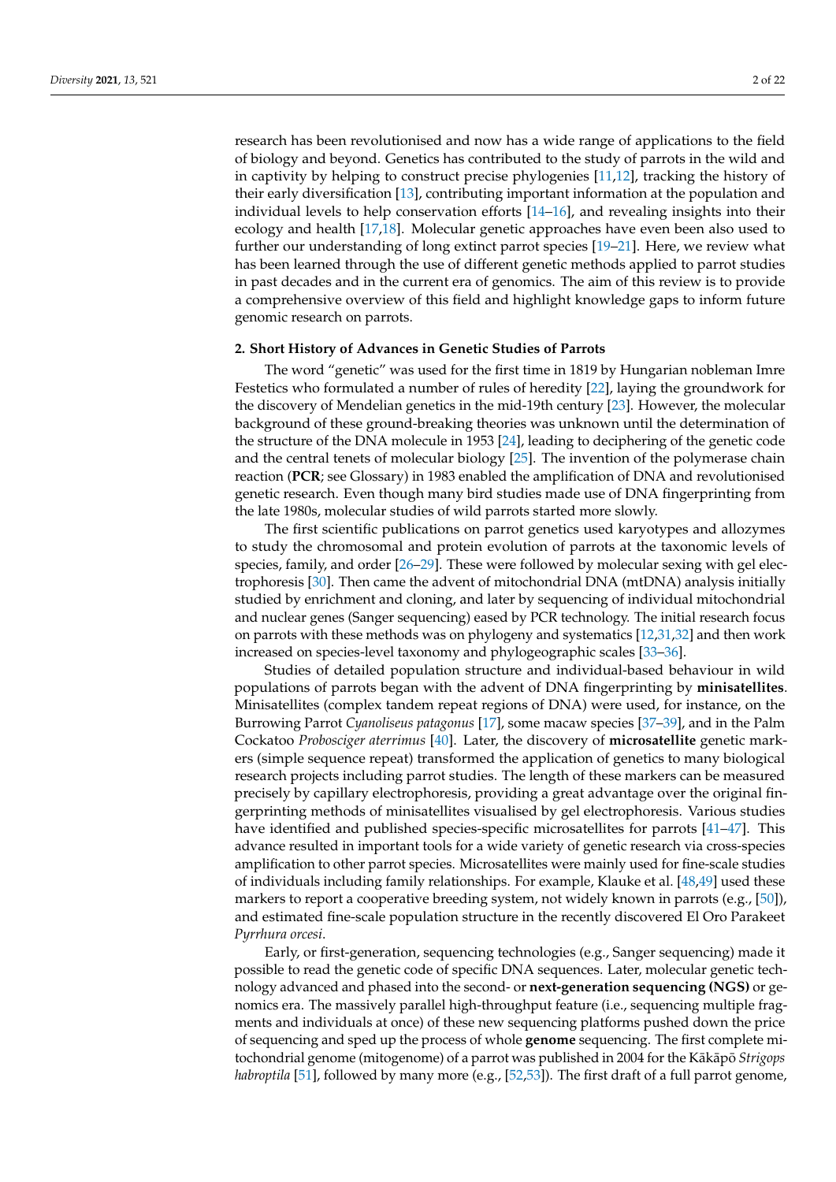research has been revolutionised and now has a wide range of applications to the field of biology and beyond. Genetics has contributed to the study of parrots in the wild and in captivity by helping to construct precise phylogenies [\[11](#page-14-10)[,12\]](#page-14-11), tracking the history of their early diversification [\[13\]](#page-14-12), contributing important information at the population and individual levels to help conservation efforts [\[14–](#page-14-13)[16\]](#page-14-14), and revealing insights into their ecology and health [\[17](#page-15-0)[,18\]](#page-15-1). Molecular genetic approaches have even been also used to further our understanding of long extinct parrot species [\[19](#page-15-2)[–21\]](#page-15-3). Here, we review what has been learned through the use of different genetic methods applied to parrot studies in past decades and in the current era of genomics. The aim of this review is to provide a comprehensive overview of this field and highlight knowledge gaps to inform future genomic research on parrots.

#### **2. Short History of Advances in Genetic Studies of Parrots**

The word "genetic" was used for the first time in 1819 by Hungarian nobleman Imre Festetics who formulated a number of rules of heredity [\[22\]](#page-15-4), laying the groundwork for the discovery of Mendelian genetics in the mid-19th century [\[23\]](#page-15-5). However, the molecular background of these ground-breaking theories was unknown until the determination of the structure of the DNA molecule in 1953 [\[24\]](#page-15-6), leading to deciphering of the genetic code and the central tenets of molecular biology [\[25\]](#page-15-7). The invention of the polymerase chain reaction (**PCR**; see Glossary) in 1983 enabled the amplification of DNA and revolutionised genetic research. Even though many bird studies made use of DNA fingerprinting from the late 1980s, molecular studies of wild parrots started more slowly.

The first scientific publications on parrot genetics used karyotypes and allozymes to study the chromosomal and protein evolution of parrots at the taxonomic levels of species, family, and order [\[26–](#page-15-8)[29\]](#page-15-9). These were followed by molecular sexing with gel electrophoresis [\[30\]](#page-15-10). Then came the advent of mitochondrial DNA (mtDNA) analysis initially studied by enrichment and cloning, and later by sequencing of individual mitochondrial and nuclear genes (Sanger sequencing) eased by PCR technology. The initial research focus on parrots with these methods was on phylogeny and systematics [\[12](#page-14-11)[,31](#page-15-11)[,32\]](#page-15-12) and then work increased on species-level taxonomy and phylogeographic scales [\[33](#page-15-13)[–36\]](#page-15-14).

Studies of detailed population structure and individual-based behaviour in wild populations of parrots began with the advent of DNA fingerprinting by **minisatellites**. Minisatellites (complex tandem repeat regions of DNA) were used, for instance, on the Burrowing Parrot *Cyanoliseus patagonus* [\[17\]](#page-15-0), some macaw species [\[37](#page-15-15)[–39\]](#page-15-16), and in the Palm Cockatoo *Probosciger aterrimus* [\[40\]](#page-15-17). Later, the discovery of **microsatellite** genetic markers (simple sequence repeat) transformed the application of genetics to many biological research projects including parrot studies. The length of these markers can be measured precisely by capillary electrophoresis, providing a great advantage over the original fingerprinting methods of minisatellites visualised by gel electrophoresis. Various studies have identified and published species-specific microsatellites for parrots [\[41](#page-15-18)[–47\]](#page-16-0). This advance resulted in important tools for a wide variety of genetic research via cross-species amplification to other parrot species. Microsatellites were mainly used for fine-scale studies of individuals including family relationships. For example, Klauke et al. [\[48](#page-16-1)[,49\]](#page-16-2) used these markers to report a cooperative breeding system, not widely known in parrots (e.g., [\[50\]](#page-16-3)), and estimated fine-scale population structure in the recently discovered El Oro Parakeet *Pyrrhura orcesi*.

Early, or first-generation, sequencing technologies (e.g., Sanger sequencing) made it possible to read the genetic code of specific DNA sequences. Later, molecular genetic technology advanced and phased into the second- or **next-generation sequencing (NGS)** or genomics era. The massively parallel high-throughput feature (i.e., sequencing multiple fragments and individuals at once) of these new sequencing platforms pushed down the price of sequencing and sped up the process of whole **genome** sequencing. The first complete mitochondrial genome (mitogenome) of a parrot was published in 2004 for the Kākāpō *Strigops habroptila* [\[51\]](#page-16-4), followed by many more (e.g., [\[52,](#page-16-5)[53\]](#page-16-6)). The first draft of a full parrot genome,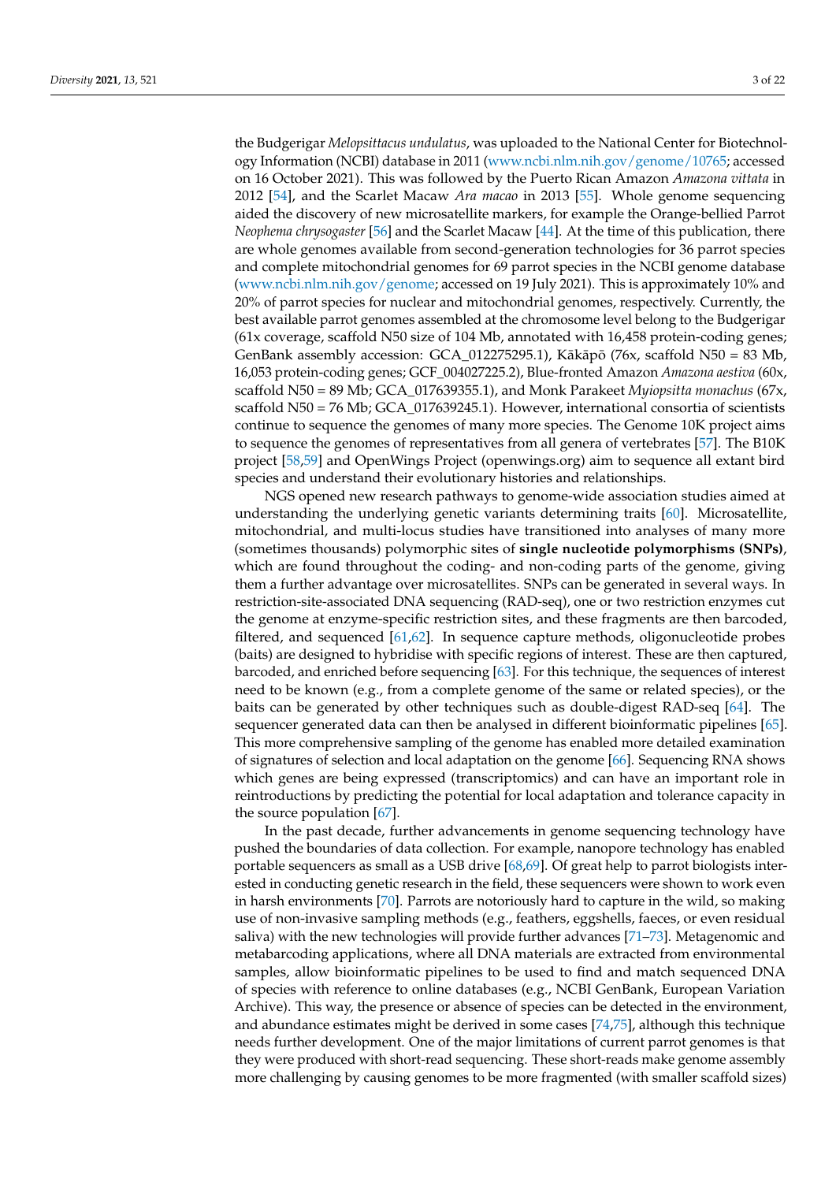the Budgerigar *Melopsittacus undulatus*, was uploaded to the National Center for Biotechnology Information (NCBI) database in 2011 [\(www.ncbi.nlm.nih.gov/genome/10765;](www.ncbi.nlm.nih.gov/genome/10765) accessed on 16 October 2021). This was followed by the Puerto Rican Amazon *Amazona vittata* in 2012 [\[54\]](#page-16-7), and the Scarlet Macaw *Ara macao* in 2013 [\[55\]](#page-16-8). Whole genome sequencing aided the discovery of new microsatellite markers, for example the Orange-bellied Parrot *Neophema chrysogaster* [\[56\]](#page-16-9) and the Scarlet Macaw [\[44\]](#page-15-19). At the time of this publication, there are whole genomes available from second-generation technologies for 36 parrot species and complete mitochondrial genomes for 69 parrot species in the NCBI genome database [\(www.ncbi.nlm.nih.gov/genome;](www.ncbi.nlm.nih.gov/genome) accessed on 19 July 2021). This is approximately 10% and 20% of parrot species for nuclear and mitochondrial genomes, respectively. Currently, the best available parrot genomes assembled at the chromosome level belong to the Budgerigar (61x coverage, scaffold N50 size of 104 Mb, annotated with 16,458 protein-coding genes; GenBank assembly accession: GCA\_012275295.1), Kākāpō (76x, scaffold N50 = 83 Mb, 16,053 protein-coding genes; GCF\_004027225.2), Blue-fronted Amazon *Amazona aestiva* (60x, scaffold N50 = 89 Mb; GCA\_017639355.1), and Monk Parakeet *Myiopsitta monachus* (67x, scaffold N50 = 76 Mb; GCA\_017639245.1). However, international consortia of scientists continue to sequence the genomes of many more species. The Genome 10K project aims to sequence the genomes of representatives from all genera of vertebrates [\[57\]](#page-16-10). The B10K project [\[58](#page-16-11)[,59\]](#page-16-12) and OpenWings Project (openwings.org) aim to sequence all extant bird species and understand their evolutionary histories and relationships.

NGS opened new research pathways to genome-wide association studies aimed at understanding the underlying genetic variants determining traits [\[60\]](#page-16-13). Microsatellite, mitochondrial, and multi-locus studies have transitioned into analyses of many more (sometimes thousands) polymorphic sites of **single nucleotide polymorphisms (SNPs)**, which are found throughout the coding- and non-coding parts of the genome, giving them a further advantage over microsatellites. SNPs can be generated in several ways. In restriction-site-associated DNA sequencing (RAD-seq), one or two restriction enzymes cut the genome at enzyme-specific restriction sites, and these fragments are then barcoded, filtered, and sequenced [\[61,](#page-16-14)[62\]](#page-16-15). In sequence capture methods, oligonucleotide probes (baits) are designed to hybridise with specific regions of interest. These are then captured, barcoded, and enriched before sequencing [\[63\]](#page-16-16). For this technique, the sequences of interest need to be known (e.g., from a complete genome of the same or related species), or the baits can be generated by other techniques such as double-digest RAD-seq [\[64\]](#page-16-17). The sequencer generated data can then be analysed in different bioinformatic pipelines [\[65\]](#page-16-18). This more comprehensive sampling of the genome has enabled more detailed examination of signatures of selection and local adaptation on the genome [\[66\]](#page-16-19). Sequencing RNA shows which genes are being expressed (transcriptomics) and can have an important role in reintroductions by predicting the potential for local adaptation and tolerance capacity in the source population [\[67\]](#page-16-20).

In the past decade, further advancements in genome sequencing technology have pushed the boundaries of data collection. For example, nanopore technology has enabled portable sequencers as small as a USB drive [\[68,](#page-16-21)[69\]](#page-16-22). Of great help to parrot biologists interested in conducting genetic research in the field, these sequencers were shown to work even in harsh environments [\[70\]](#page-16-23). Parrots are notoriously hard to capture in the wild, so making use of non-invasive sampling methods (e.g., feathers, eggshells, faeces, or even residual saliva) with the new technologies will provide further advances [\[71–](#page-16-24)[73\]](#page-17-0). Metagenomic and metabarcoding applications, where all DNA materials are extracted from environmental samples, allow bioinformatic pipelines to be used to find and match sequenced DNA of species with reference to online databases (e.g., NCBI GenBank, European Variation Archive). This way, the presence or absence of species can be detected in the environment, and abundance estimates might be derived in some cases [\[74](#page-17-1)[,75\]](#page-17-2), although this technique needs further development. One of the major limitations of current parrot genomes is that they were produced with short-read sequencing. These short-reads make genome assembly more challenging by causing genomes to be more fragmented (with smaller scaffold sizes)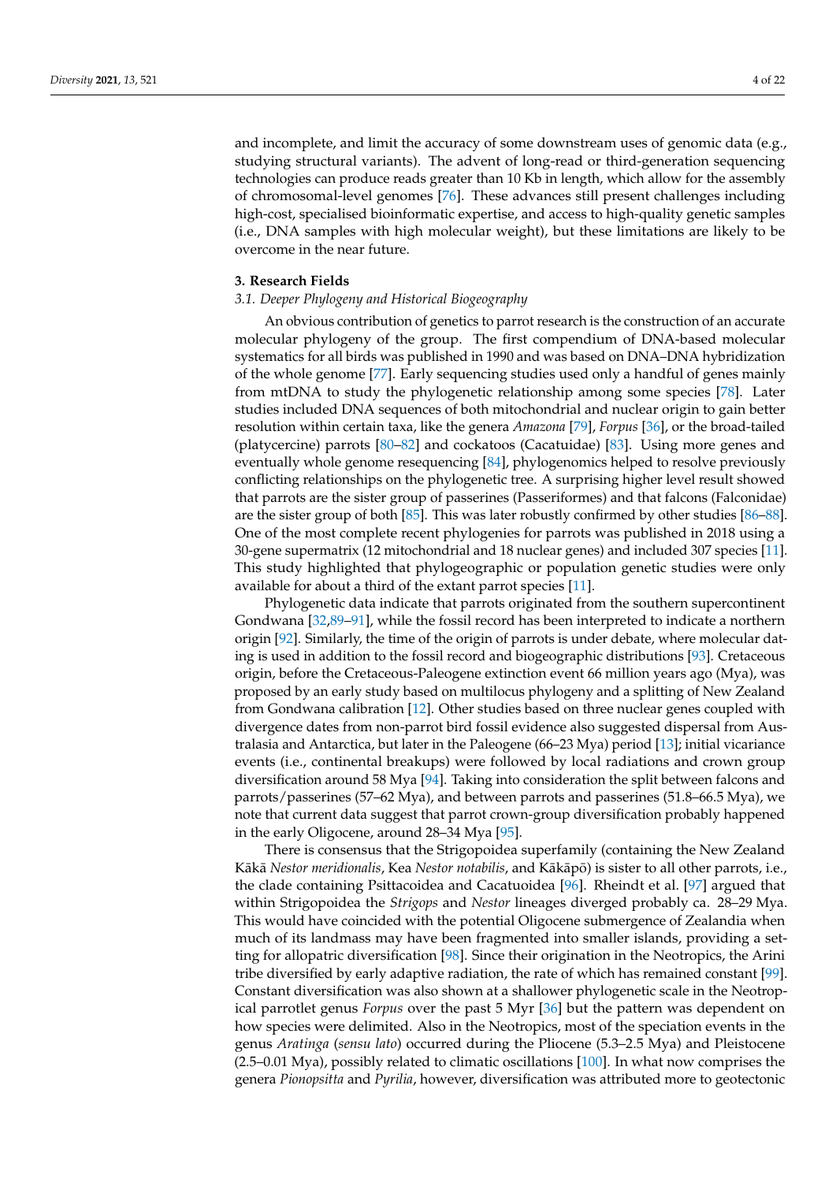and incomplete, and limit the accuracy of some downstream uses of genomic data (e.g., studying structural variants). The advent of long-read or third-generation sequencing technologies can produce reads greater than 10 Kb in length, which allow for the assembly of chromosomal-level genomes [\[76\]](#page-17-3). These advances still present challenges including high-cost, specialised bioinformatic expertise, and access to high-quality genetic samples (i.e., DNA samples with high molecular weight), but these limitations are likely to be overcome in the near future.

#### **3. Research Fields**

### *3.1. Deeper Phylogeny and Historical Biogeography*

An obvious contribution of genetics to parrot research is the construction of an accurate molecular phylogeny of the group. The first compendium of DNA-based molecular systematics for all birds was published in 1990 and was based on DNA–DNA hybridization of the whole genome [\[77\]](#page-17-4). Early sequencing studies used only a handful of genes mainly from mtDNA to study the phylogenetic relationship among some species [\[78\]](#page-17-5). Later studies included DNA sequences of both mitochondrial and nuclear origin to gain better resolution within certain taxa, like the genera *Amazona* [\[79\]](#page-17-6), *Forpus* [\[36\]](#page-15-14), or the broad-tailed (platycercine) parrots [\[80–](#page-17-7)[82\]](#page-17-8) and cockatoos (Cacatuidae) [\[83\]](#page-17-9). Using more genes and eventually whole genome resequencing [\[84\]](#page-17-10), phylogenomics helped to resolve previously conflicting relationships on the phylogenetic tree. A surprising higher level result showed that parrots are the sister group of passerines (Passeriformes) and that falcons (Falconidae) are the sister group of both [\[85\]](#page-17-11). This was later robustly confirmed by other studies [\[86](#page-17-12)[–88\]](#page-17-13). One of the most complete recent phylogenies for parrots was published in 2018 using a 30-gene supermatrix (12 mitochondrial and 18 nuclear genes) and included 307 species [\[11\]](#page-14-10). This study highlighted that phylogeographic or population genetic studies were only available for about a third of the extant parrot species [\[11\]](#page-14-10).

Phylogenetic data indicate that parrots originated from the southern supercontinent Gondwana [\[32,](#page-15-12)[89](#page-17-14)[–91\]](#page-17-15), while the fossil record has been interpreted to indicate a northern origin [\[92\]](#page-17-16). Similarly, the time of the origin of parrots is under debate, where molecular dating is used in addition to the fossil record and biogeographic distributions [\[93\]](#page-17-17). Cretaceous origin, before the Cretaceous-Paleogene extinction event 66 million years ago (Mya), was proposed by an early study based on multilocus phylogeny and a splitting of New Zealand from Gondwana calibration [\[12\]](#page-14-11). Other studies based on three nuclear genes coupled with divergence dates from non-parrot bird fossil evidence also suggested dispersal from Australasia and Antarctica, but later in the Paleogene (66–23 Mya) period [\[13\]](#page-14-12); initial vicariance events (i.e., continental breakups) were followed by local radiations and crown group diversification around 58 Mya [\[94\]](#page-17-18). Taking into consideration the split between falcons and parrots/passerines (57–62 Mya), and between parrots and passerines (51.8–66.5 Mya), we note that current data suggest that parrot crown-group diversification probably happened in the early Oligocene, around 28–34 Mya [\[95\]](#page-17-19).

There is consensus that the Strigopoidea superfamily (containing the New Zealand Kākā *Nestor meridionalis*, Kea *Nestor notabilis*, and Kākāpō) is sister to all other parrots, i.e., the clade containing Psittacoidea and Cacatuoidea [\[96\]](#page-17-20). Rheindt et al. [\[97\]](#page-17-21) argued that within Strigopoidea the *Strigops* and *Nestor* lineages diverged probably ca. 28–29 Mya. This would have coincided with the potential Oligocene submergence of Zealandia when much of its landmass may have been fragmented into smaller islands, providing a setting for allopatric diversification [\[98\]](#page-17-22). Since their origination in the Neotropics, the Arini tribe diversified by early adaptive radiation, the rate of which has remained constant [\[99\]](#page-17-23). Constant diversification was also shown at a shallower phylogenetic scale in the Neotropical parrotlet genus *Forpus* over the past 5 Myr [\[36\]](#page-15-14) but the pattern was dependent on how species were delimited. Also in the Neotropics, most of the speciation events in the genus *Aratinga* (*sensu lato*) occurred during the Pliocene (5.3–2.5 Mya) and Pleistocene  $(2.5-0.01 \text{ Mya})$ , possibly related to climatic oscillations  $[100]$ . In what now comprises the genera *Pionopsitta* and *Pyrilia*, however, diversification was attributed more to geotectonic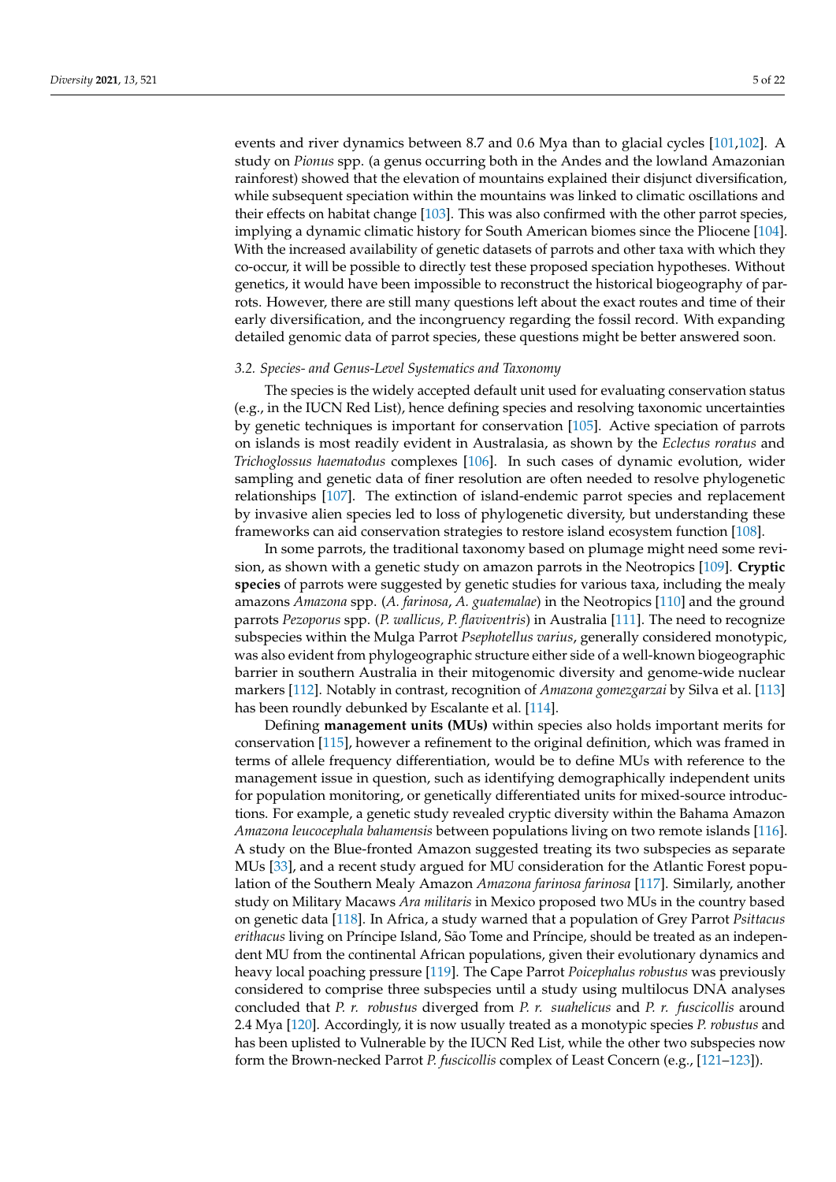events and river dynamics between 8.7 and 0.6 Mya than to glacial cycles [\[101](#page-17-25)[,102\]](#page-18-0). A study on *Pionus* spp. (a genus occurring both in the Andes and the lowland Amazonian rainforest) showed that the elevation of mountains explained their disjunct diversification, while subsequent speciation within the mountains was linked to climatic oscillations and their effects on habitat change [\[103\]](#page-18-1). This was also confirmed with the other parrot species, implying a dynamic climatic history for South American biomes since the Pliocene [\[104\]](#page-18-2). With the increased availability of genetic datasets of parrots and other taxa with which they co-occur, it will be possible to directly test these proposed speciation hypotheses. Without genetics, it would have been impossible to reconstruct the historical biogeography of parrots. However, there are still many questions left about the exact routes and time of their early diversification, and the incongruency regarding the fossil record. With expanding detailed genomic data of parrot species, these questions might be better answered soon.

#### *3.2. Species- and Genus-Level Systematics and Taxonomy*

The species is the widely accepted default unit used for evaluating conservation status (e.g., in the IUCN Red List), hence defining species and resolving taxonomic uncertainties by genetic techniques is important for conservation [\[105\]](#page-18-3). Active speciation of parrots on islands is most readily evident in Australasia, as shown by the *Eclectus roratus* and *Trichoglossus haematodus* complexes [\[106\]](#page-18-4). In such cases of dynamic evolution, wider sampling and genetic data of finer resolution are often needed to resolve phylogenetic relationships [\[107\]](#page-18-5). The extinction of island-endemic parrot species and replacement by invasive alien species led to loss of phylogenetic diversity, but understanding these frameworks can aid conservation strategies to restore island ecosystem function [\[108\]](#page-18-6).

In some parrots, the traditional taxonomy based on plumage might need some revision, as shown with a genetic study on amazon parrots in the Neotropics [\[109\]](#page-18-7). **Cryptic species** of parrots were suggested by genetic studies for various taxa, including the mealy amazons *Amazona* spp. (*A. farinosa*, *A. guatemalae*) in the Neotropics [\[110\]](#page-18-8) and the ground parrots *Pezoporus* spp. (*P. wallicus, P. flaviventris*) in Australia [\[111\]](#page-18-9). The need to recognize subspecies within the Mulga Parrot *Psephotellus varius*, generally considered monotypic, was also evident from phylogeographic structure either side of a well-known biogeographic barrier in southern Australia in their mitogenomic diversity and genome-wide nuclear markers [\[112\]](#page-18-10). Notably in contrast, recognition of *Amazona gomezgarzai* by Silva et al. [\[113\]](#page-18-11) has been roundly debunked by Escalante et al. [\[114\]](#page-18-12).

Defining **management units (MUs)** within species also holds important merits for conservation [\[115\]](#page-18-13), however a refinement to the original definition, which was framed in terms of allele frequency differentiation, would be to define MUs with reference to the management issue in question, such as identifying demographically independent units for population monitoring, or genetically differentiated units for mixed-source introductions. For example, a genetic study revealed cryptic diversity within the Bahama Amazon *Amazona leucocephala bahamensis* between populations living on two remote islands [\[116\]](#page-18-14). A study on the Blue-fronted Amazon suggested treating its two subspecies as separate MUs [\[33\]](#page-15-13), and a recent study argued for MU consideration for the Atlantic Forest population of the Southern Mealy Amazon *Amazona farinosa farinosa* [\[117\]](#page-18-15). Similarly, another study on Military Macaws *Ara militaris* in Mexico proposed two MUs in the country based on genetic data [\[118\]](#page-18-16). In Africa, a study warned that a population of Grey Parrot *Psittacus erithacus* living on Príncipe Island, São Tome and Príncipe, should be treated as an independent MU from the continental African populations, given their evolutionary dynamics and heavy local poaching pressure [\[119\]](#page-18-17). The Cape Parrot *Poicephalus robustus* was previously considered to comprise three subspecies until a study using multilocus DNA analyses concluded that *P. r. robustus* diverged from *P. r. suahelicus* and *P. r. fuscicollis* around 2.4 Mya [\[120\]](#page-18-18). Accordingly, it is now usually treated as a monotypic species *P. robustus* and has been uplisted to Vulnerable by the IUCN Red List, while the other two subspecies now form the Brown-necked Parrot *P. fuscicollis* complex of Least Concern (e.g., [\[121–](#page-18-19)[123\]](#page-18-20)).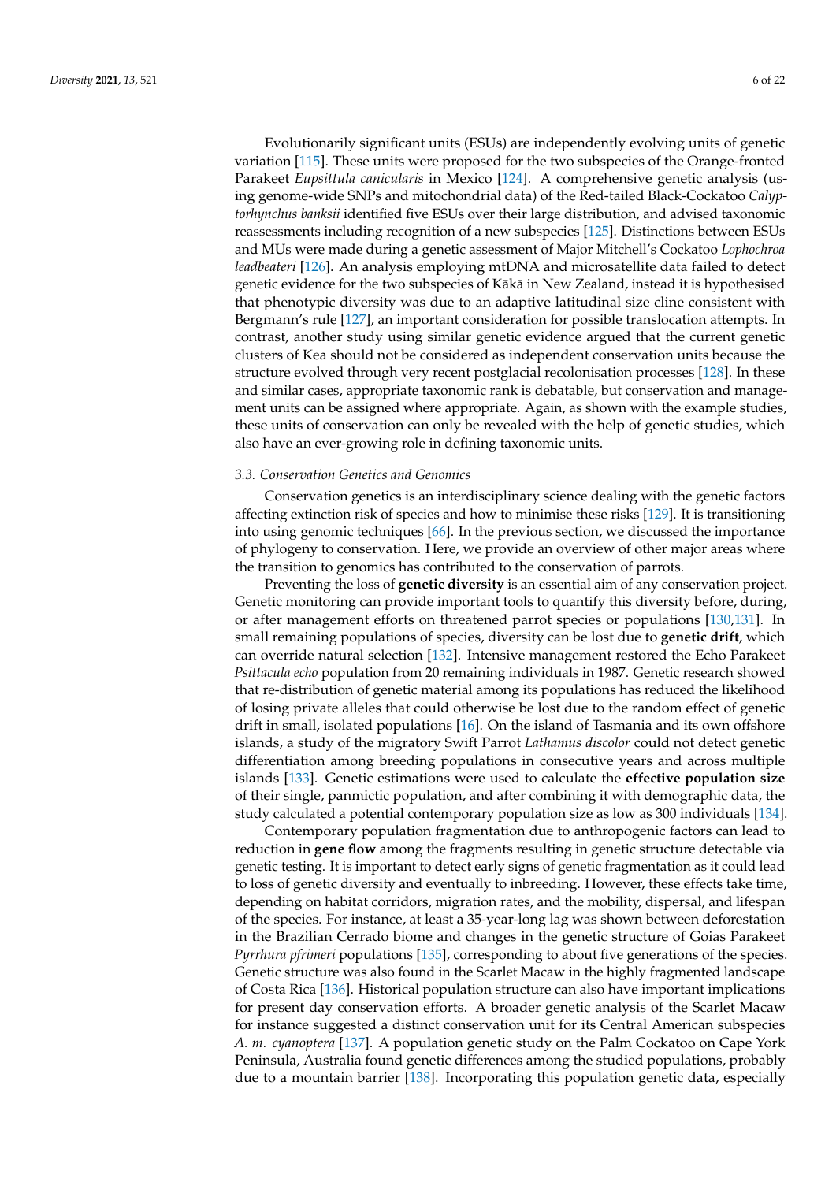Evolutionarily significant units (ESUs) are independently evolving units of genetic variation [\[115\]](#page-18-13). These units were proposed for the two subspecies of the Orange-fronted Parakeet *Eupsittula canicularis* in Mexico [\[124\]](#page-18-21). A comprehensive genetic analysis (using genome-wide SNPs and mitochondrial data) of the Red-tailed Black-Cockatoo *Calyptorhynchus banksii* identified five ESUs over their large distribution, and advised taxonomic reassessments including recognition of a new subspecies [\[125\]](#page-18-22). Distinctions between ESUs and MUs were made during a genetic assessment of Major Mitchell's Cockatoo *Lophochroa leadbeateri* [\[126\]](#page-18-23). An analysis employing mtDNA and microsatellite data failed to detect genetic evidence for the two subspecies of Kākā in New Zealand, instead it is hypothesised that phenotypic diversity was due to an adaptive latitudinal size cline consistent with Bergmann's rule [\[127\]](#page-18-24), an important consideration for possible translocation attempts. In contrast, another study using similar genetic evidence argued that the current genetic clusters of Kea should not be considered as independent conservation units because the structure evolved through very recent postglacial recolonisation processes [\[128\]](#page-18-25). In these and similar cases, appropriate taxonomic rank is debatable, but conservation and management units can be assigned where appropriate. Again, as shown with the example studies, these units of conservation can only be revealed with the help of genetic studies, which also have an ever-growing role in defining taxonomic units.

#### *3.3. Conservation Genetics and Genomics*

Conservation genetics is an interdisciplinary science dealing with the genetic factors affecting extinction risk of species and how to minimise these risks [\[129\]](#page-18-26). It is transitioning into using genomic techniques [\[66\]](#page-16-19). In the previous section, we discussed the importance of phylogeny to conservation. Here, we provide an overview of other major areas where the transition to genomics has contributed to the conservation of parrots.

Preventing the loss of **genetic diversity** is an essential aim of any conservation project. Genetic monitoring can provide important tools to quantify this diversity before, during, or after management efforts on threatened parrot species or populations [\[130,](#page-19-0)[131\]](#page-19-1). In small remaining populations of species, diversity can be lost due to **genetic drift**, which can override natural selection [\[132\]](#page-19-2). Intensive management restored the Echo Parakeet *Psittacula echo* population from 20 remaining individuals in 1987. Genetic research showed that re-distribution of genetic material among its populations has reduced the likelihood of losing private alleles that could otherwise be lost due to the random effect of genetic drift in small, isolated populations [\[16\]](#page-14-14). On the island of Tasmania and its own offshore islands, a study of the migratory Swift Parrot *Lathamus discolor* could not detect genetic differentiation among breeding populations in consecutive years and across multiple islands [\[133\]](#page-19-3). Genetic estimations were used to calculate the **effective population size** of their single, panmictic population, and after combining it with demographic data, the study calculated a potential contemporary population size as low as 300 individuals [\[134\]](#page-19-4).

Contemporary population fragmentation due to anthropogenic factors can lead to reduction in **gene flow** among the fragments resulting in genetic structure detectable via genetic testing. It is important to detect early signs of genetic fragmentation as it could lead to loss of genetic diversity and eventually to inbreeding. However, these effects take time, depending on habitat corridors, migration rates, and the mobility, dispersal, and lifespan of the species. For instance, at least a 35-year-long lag was shown between deforestation in the Brazilian Cerrado biome and changes in the genetic structure of Goias Parakeet *Pyrrhura pfrimeri* populations [\[135\]](#page-19-5), corresponding to about five generations of the species. Genetic structure was also found in the Scarlet Macaw in the highly fragmented landscape of Costa Rica [\[136\]](#page-19-6). Historical population structure can also have important implications for present day conservation efforts. A broader genetic analysis of the Scarlet Macaw for instance suggested a distinct conservation unit for its Central American subspecies *A. m. cyanoptera* [\[137\]](#page-19-7). A population genetic study on the Palm Cockatoo on Cape York Peninsula, Australia found genetic differences among the studied populations, probably due to a mountain barrier [\[138\]](#page-19-8). Incorporating this population genetic data, especially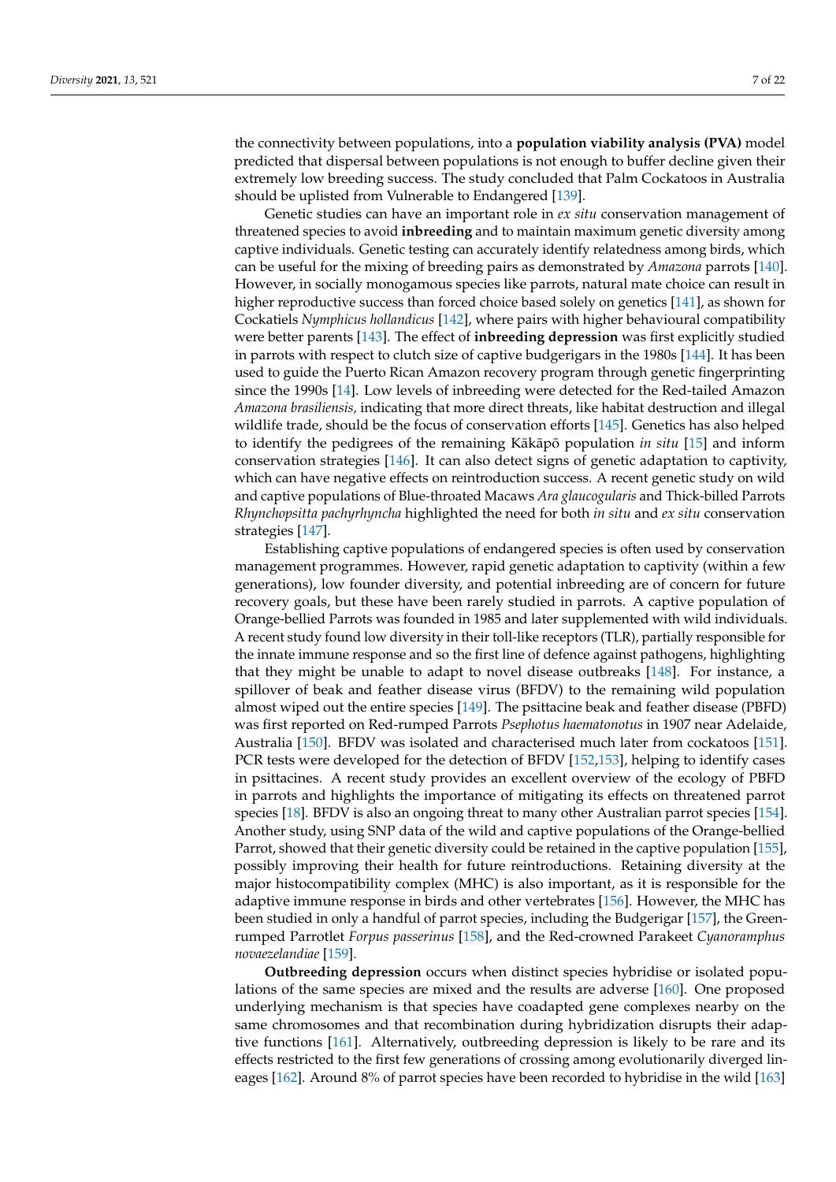the connectivity between populations, into a **population viability analysis (PVA)** model predicted that dispersal between populations is not enough to buffer decline given their extremely low breeding success. The study concluded that Palm Cockatoos in Australia

Genetic studies can have an important role in *ex situ* conservation management of threatened species to avoid **inbreeding** and to maintain maximum genetic diversity among captive individuals. Genetic testing can accurately identify relatedness among birds, which can be useful for the mixing of breeding pairs as demonstrated by *Amazona* parrots [\[140\]](#page-19-10). However, in socially monogamous species like parrots, natural mate choice can result in higher reproductive success than forced choice based solely on genetics [\[141\]](#page-19-11), as shown for Cockatiels *Nymphicus hollandicus* [\[142\]](#page-19-12), where pairs with higher behavioural compatibility were better parents [\[143\]](#page-19-13). The effect of **inbreeding depression** was first explicitly studied in parrots with respect to clutch size of captive budgerigars in the 1980s [\[144\]](#page-19-14). It has been used to guide the Puerto Rican Amazon recovery program through genetic fingerprinting since the 1990s [\[14\]](#page-14-13). Low levels of inbreeding were detected for the Red-tailed Amazon *Amazona brasiliensis,* indicating that more direct threats, like habitat destruction and illegal wildlife trade, should be the focus of conservation efforts [\[145\]](#page-19-15). Genetics has also helped to identify the pedigrees of the remaining Kakapo population *in situ* [\[15\]](#page-14-15) and inform conservation strategies [\[146\]](#page-19-16). It can also detect signs of genetic adaptation to captivity, which can have negative effects on reintroduction success. A recent genetic study on wild and captive populations of Blue-throated Macaws *Ara glaucogularis* and Thick-billed Parrots *Rhynchopsitta pachyrhyncha* highlighted the need for both *in situ* and *ex situ* conservation strategies [\[147\]](#page-19-17).

should be uplisted from Vulnerable to Endangered [\[139\]](#page-19-9).

Establishing captive populations of endangered species is often used by conservation management programmes. However, rapid genetic adaptation to captivity (within a few generations), low founder diversity, and potential inbreeding are of concern for future recovery goals, but these have been rarely studied in parrots. A captive population of Orange-bellied Parrots was founded in 1985 and later supplemented with wild individuals. A recent study found low diversity in their toll-like receptors (TLR), partially responsible for the innate immune response and so the first line of defence against pathogens, highlighting that they might be unable to adapt to novel disease outbreaks [\[148\]](#page-19-18). For instance, a spillover of beak and feather disease virus (BFDV) to the remaining wild population almost wiped out the entire species [\[149\]](#page-19-19). The psittacine beak and feather disease (PBFD) was first reported on Red-rumped Parrots *Psephotus haematonotus* in 1907 near Adelaide, Australia [\[150\]](#page-19-20). BFDV was isolated and characterised much later from cockatoos [\[151\]](#page-19-21). PCR tests were developed for the detection of BFDV [\[152,](#page-19-22)[153\]](#page-19-23), helping to identify cases in psittacines. A recent study provides an excellent overview of the ecology of PBFD in parrots and highlights the importance of mitigating its effects on threatened parrot species [\[18\]](#page-15-1). BFDV is also an ongoing threat to many other Australian parrot species [\[154\]](#page-19-24). Another study, using SNP data of the wild and captive populations of the Orange-bellied Parrot, showed that their genetic diversity could be retained in the captive population [\[155\]](#page-19-25), possibly improving their health for future reintroductions. Retaining diversity at the major histocompatibility complex (MHC) is also important, as it is responsible for the adaptive immune response in birds and other vertebrates [\[156\]](#page-19-26). However, the MHC has been studied in only a handful of parrot species, including the Budgerigar [\[157\]](#page-19-27), the Greenrumped Parrotlet *Forpus passerinus* [\[158\]](#page-20-0), and the Red-crowned Parakeet *Cyanoramphus novaezelandiae* [\[159\]](#page-20-1).

**Outbreeding depression** occurs when distinct species hybridise or isolated populations of the same species are mixed and the results are adverse [\[160\]](#page-20-2). One proposed underlying mechanism is that species have coadapted gene complexes nearby on the same chromosomes and that recombination during hybridization disrupts their adaptive functions [\[161\]](#page-20-3). Alternatively, outbreeding depression is likely to be rare and its effects restricted to the first few generations of crossing among evolutionarily diverged lineages [\[162\]](#page-20-4). Around 8% of parrot species have been recorded to hybridise in the wild [\[163\]](#page-20-5)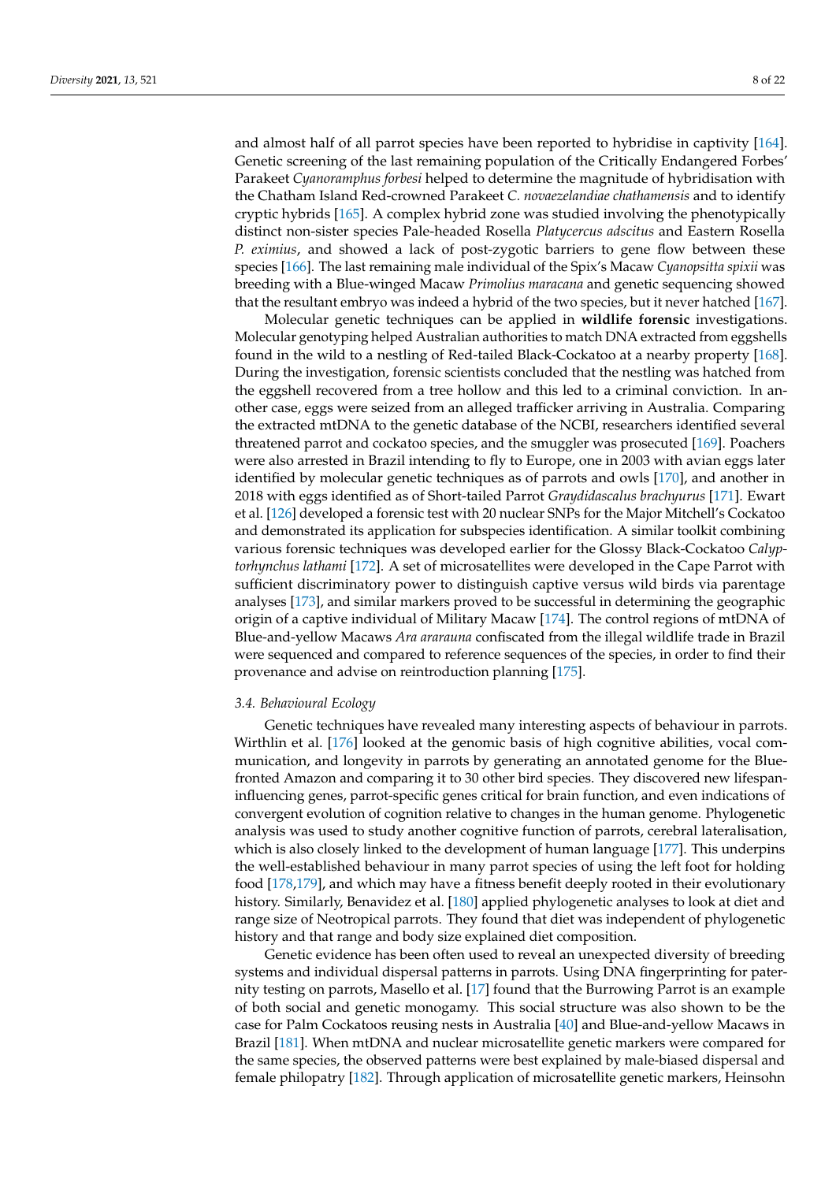and almost half of all parrot species have been reported to hybridise in captivity [\[164\]](#page-20-6). Genetic screening of the last remaining population of the Critically Endangered Forbes' Parakeet *Cyanoramphus forbesi* helped to determine the magnitude of hybridisation with the Chatham Island Red-crowned Parakeet *C. novaezelandiae chathamensis* and to identify cryptic hybrids [\[165\]](#page-20-7). A complex hybrid zone was studied involving the phenotypically distinct non-sister species Pale-headed Rosella *Platycercus adscitus* and Eastern Rosella *P. eximius*, and showed a lack of post-zygotic barriers to gene flow between these species [\[166\]](#page-20-8). The last remaining male individual of the Spix's Macaw *Cyanopsitta spixii* was breeding with a Blue-winged Macaw *Primolius maracana* and genetic sequencing showed that the resultant embryo was indeed a hybrid of the two species, but it never hatched [\[167\]](#page-20-9).

Molecular genetic techniques can be applied in **wildlife forensic** investigations. Molecular genotyping helped Australian authorities to match DNA extracted from eggshells found in the wild to a nestling of Red-tailed Black-Cockatoo at a nearby property [\[168\]](#page-20-10). During the investigation, forensic scientists concluded that the nestling was hatched from the eggshell recovered from a tree hollow and this led to a criminal conviction. In another case, eggs were seized from an alleged trafficker arriving in Australia. Comparing the extracted mtDNA to the genetic database of the NCBI, researchers identified several threatened parrot and cockatoo species, and the smuggler was prosecuted [\[169\]](#page-20-11). Poachers were also arrested in Brazil intending to fly to Europe, one in 2003 with avian eggs later identified by molecular genetic techniques as of parrots and owls [\[170\]](#page-20-12), and another in 2018 with eggs identified as of Short-tailed Parrot *Graydidascalus brachyurus* [\[171\]](#page-20-13). Ewart et al. [\[126\]](#page-18-23) developed a forensic test with 20 nuclear SNPs for the Major Mitchell's Cockatoo and demonstrated its application for subspecies identification. A similar toolkit combining various forensic techniques was developed earlier for the Glossy Black-Cockatoo *Calyptorhynchus lathami* [\[172\]](#page-20-14). A set of microsatellites were developed in the Cape Parrot with sufficient discriminatory power to distinguish captive versus wild birds via parentage analyses [\[173\]](#page-20-15), and similar markers proved to be successful in determining the geographic origin of a captive individual of Military Macaw [\[174\]](#page-20-16). The control regions of mtDNA of Blue-and-yellow Macaws *Ara ararauna* confiscated from the illegal wildlife trade in Brazil were sequenced and compared to reference sequences of the species, in order to find their provenance and advise on reintroduction planning [\[175\]](#page-20-17).

#### *3.4. Behavioural Ecology*

Genetic techniques have revealed many interesting aspects of behaviour in parrots. Wirthlin et al. [\[176\]](#page-20-18) looked at the genomic basis of high cognitive abilities, vocal communication, and longevity in parrots by generating an annotated genome for the Bluefronted Amazon and comparing it to 30 other bird species. They discovered new lifespaninfluencing genes, parrot-specific genes critical for brain function, and even indications of convergent evolution of cognition relative to changes in the human genome. Phylogenetic analysis was used to study another cognitive function of parrots, cerebral lateralisation, which is also closely linked to the development of human language [\[177\]](#page-20-19). This underpins the well-established behaviour in many parrot species of using the left foot for holding food [\[178,](#page-20-20)[179\]](#page-20-21), and which may have a fitness benefit deeply rooted in their evolutionary history. Similarly, Benavidez et al. [\[180\]](#page-20-22) applied phylogenetic analyses to look at diet and range size of Neotropical parrots. They found that diet was independent of phylogenetic history and that range and body size explained diet composition.

Genetic evidence has been often used to reveal an unexpected diversity of breeding systems and individual dispersal patterns in parrots. Using DNA fingerprinting for paternity testing on parrots, Masello et al. [\[17\]](#page-15-0) found that the Burrowing Parrot is an example of both social and genetic monogamy. This social structure was also shown to be the case for Palm Cockatoos reusing nests in Australia [\[40\]](#page-15-17) and Blue-and-yellow Macaws in Brazil [\[181\]](#page-20-23). When mtDNA and nuclear microsatellite genetic markers were compared for the same species, the observed patterns were best explained by male-biased dispersal and female philopatry [\[182\]](#page-20-24). Through application of microsatellite genetic markers, Heinsohn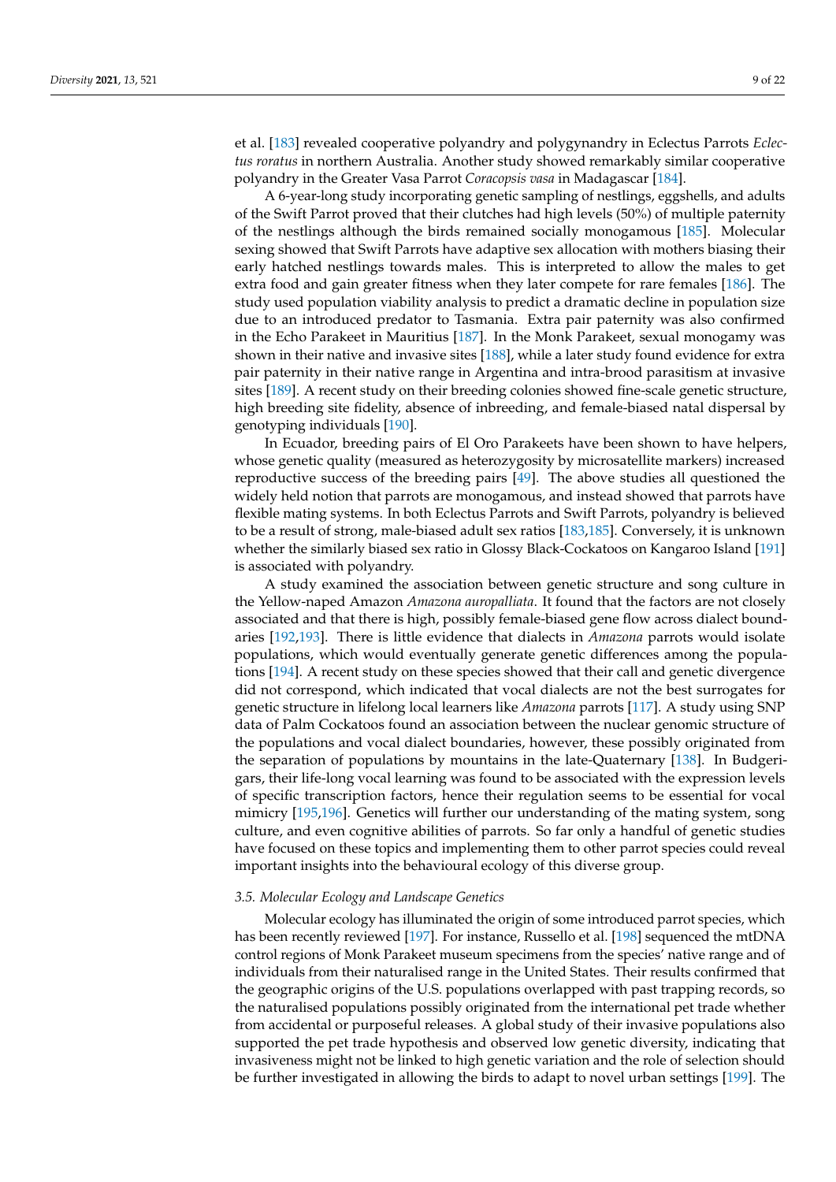et al. [\[183\]](#page-20-25) revealed cooperative polyandry and polygynandry in Eclectus Parrots *Eclectus roratus* in northern Australia. Another study showed remarkably similar cooperative polyandry in the Greater Vasa Parrot *Coracopsis vasa* in Madagascar [\[184\]](#page-20-26).

A 6-year-long study incorporating genetic sampling of nestlings, eggshells, and adults of the Swift Parrot proved that their clutches had high levels (50%) of multiple paternity of the nestlings although the birds remained socially monogamous [\[185\]](#page-20-27). Molecular sexing showed that Swift Parrots have adaptive sex allocation with mothers biasing their early hatched nestlings towards males. This is interpreted to allow the males to get extra food and gain greater fitness when they later compete for rare females [\[186\]](#page-21-0). The study used population viability analysis to predict a dramatic decline in population size due to an introduced predator to Tasmania. Extra pair paternity was also confirmed in the Echo Parakeet in Mauritius [\[187\]](#page-21-1). In the Monk Parakeet, sexual monogamy was shown in their native and invasive sites [\[188\]](#page-21-2), while a later study found evidence for extra pair paternity in their native range in Argentina and intra-brood parasitism at invasive sites [\[189\]](#page-21-3). A recent study on their breeding colonies showed fine-scale genetic structure, high breeding site fidelity, absence of inbreeding, and female-biased natal dispersal by genotyping individuals [\[190\]](#page-21-4).

In Ecuador, breeding pairs of El Oro Parakeets have been shown to have helpers, whose genetic quality (measured as heterozygosity by microsatellite markers) increased reproductive success of the breeding pairs [\[49\]](#page-16-2). The above studies all questioned the widely held notion that parrots are monogamous, and instead showed that parrots have flexible mating systems. In both Eclectus Parrots and Swift Parrots, polyandry is believed to be a result of strong, male-biased adult sex ratios [\[183,](#page-20-25)[185\]](#page-20-27). Conversely, it is unknown whether the similarly biased sex ratio in Glossy Black-Cockatoos on Kangaroo Island [\[191\]](#page-21-5) is associated with polyandry.

A study examined the association between genetic structure and song culture in the Yellow-naped Amazon *Amazona auropalliata*. It found that the factors are not closely associated and that there is high, possibly female-biased gene flow across dialect boundaries [\[192](#page-21-6)[,193\]](#page-21-7). There is little evidence that dialects in *Amazona* parrots would isolate populations, which would eventually generate genetic differences among the populations [\[194\]](#page-21-8). A recent study on these species showed that their call and genetic divergence did not correspond, which indicated that vocal dialects are not the best surrogates for genetic structure in lifelong local learners like *Amazona* parrots [\[117\]](#page-18-15). A study using SNP data of Palm Cockatoos found an association between the nuclear genomic structure of the populations and vocal dialect boundaries, however, these possibly originated from the separation of populations by mountains in the late-Quaternary [\[138\]](#page-19-8). In Budgerigars, their life-long vocal learning was found to be associated with the expression levels of specific transcription factors, hence their regulation seems to be essential for vocal mimicry [\[195](#page-21-9)[,196\]](#page-21-10). Genetics will further our understanding of the mating system, song culture, and even cognitive abilities of parrots. So far only a handful of genetic studies have focused on these topics and implementing them to other parrot species could reveal important insights into the behavioural ecology of this diverse group.

#### *3.5. Molecular Ecology and Landscape Genetics*

Molecular ecology has illuminated the origin of some introduced parrot species, which has been recently reviewed [\[197\]](#page-21-11). For instance, Russello et al. [\[198\]](#page-21-12) sequenced the mtDNA control regions of Monk Parakeet museum specimens from the species' native range and of individuals from their naturalised range in the United States. Their results confirmed that the geographic origins of the U.S. populations overlapped with past trapping records, so the naturalised populations possibly originated from the international pet trade whether from accidental or purposeful releases. A global study of their invasive populations also supported the pet trade hypothesis and observed low genetic diversity, indicating that invasiveness might not be linked to high genetic variation and the role of selection should be further investigated in allowing the birds to adapt to novel urban settings [\[199\]](#page-21-13). The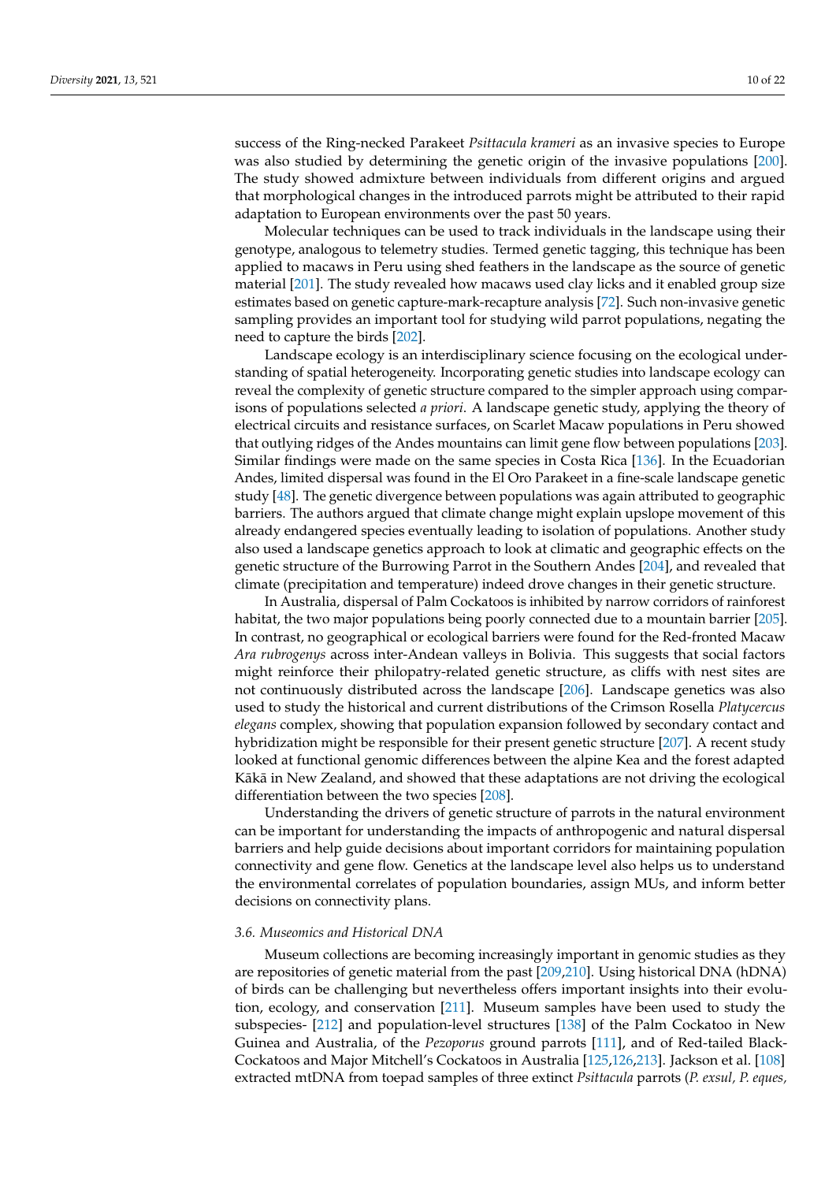success of the Ring-necked Parakeet *Psittacula krameri* as an invasive species to Europe was also studied by determining the genetic origin of the invasive populations [\[200\]](#page-21-14). The study showed admixture between individuals from different origins and argued that morphological changes in the introduced parrots might be attributed to their rapid adaptation to European environments over the past 50 years.

Molecular techniques can be used to track individuals in the landscape using their genotype, analogous to telemetry studies. Termed genetic tagging, this technique has been applied to macaws in Peru using shed feathers in the landscape as the source of genetic material [\[201\]](#page-21-15). The study revealed how macaws used clay licks and it enabled group size estimates based on genetic capture-mark-recapture analysis [\[72\]](#page-16-25). Such non-invasive genetic sampling provides an important tool for studying wild parrot populations, negating the need to capture the birds [\[202\]](#page-21-16).

Landscape ecology is an interdisciplinary science focusing on the ecological understanding of spatial heterogeneity. Incorporating genetic studies into landscape ecology can reveal the complexity of genetic structure compared to the simpler approach using comparisons of populations selected *a priori*. A landscape genetic study, applying the theory of electrical circuits and resistance surfaces, on Scarlet Macaw populations in Peru showed that outlying ridges of the Andes mountains can limit gene flow between populations [\[203\]](#page-21-17). Similar findings were made on the same species in Costa Rica [\[136\]](#page-19-6). In the Ecuadorian Andes, limited dispersal was found in the El Oro Parakeet in a fine-scale landscape genetic study [\[48\]](#page-16-1). The genetic divergence between populations was again attributed to geographic barriers. The authors argued that climate change might explain upslope movement of this already endangered species eventually leading to isolation of populations. Another study also used a landscape genetics approach to look at climatic and geographic effects on the genetic structure of the Burrowing Parrot in the Southern Andes [\[204\]](#page-21-18), and revealed that climate (precipitation and temperature) indeed drove changes in their genetic structure.

In Australia, dispersal of Palm Cockatoos is inhibited by narrow corridors of rainforest habitat, the two major populations being poorly connected due to a mountain barrier [\[205\]](#page-21-19). In contrast, no geographical or ecological barriers were found for the Red-fronted Macaw *Ara rubrogenys* across inter-Andean valleys in Bolivia. This suggests that social factors might reinforce their philopatry-related genetic structure, as cliffs with nest sites are not continuously distributed across the landscape [\[206\]](#page-21-20). Landscape genetics was also used to study the historical and current distributions of the Crimson Rosella *Platycercus elegans* complex, showing that population expansion followed by secondary contact and hybridization might be responsible for their present genetic structure [\[207\]](#page-21-21). A recent study looked at functional genomic differences between the alpine Kea and the forest adapted Kākā in New Zealand, and showed that these adaptations are not driving the ecological differentiation between the two species [\[208\]](#page-21-22).

Understanding the drivers of genetic structure of parrots in the natural environment can be important for understanding the impacts of anthropogenic and natural dispersal barriers and help guide decisions about important corridors for maintaining population connectivity and gene flow. Genetics at the landscape level also helps us to understand the environmental correlates of population boundaries, assign MUs, and inform better decisions on connectivity plans.

#### *3.6. Museomics and Historical DNA*

Museum collections are becoming increasingly important in genomic studies as they are repositories of genetic material from the past [\[209,](#page-21-23)[210\]](#page-21-24). Using historical DNA (hDNA) of birds can be challenging but nevertheless offers important insights into their evolution, ecology, and conservation [\[211\]](#page-21-25). Museum samples have been used to study the subspecies- [\[212\]](#page-21-26) and population-level structures [\[138\]](#page-19-8) of the Palm Cockatoo in New Guinea and Australia, of the *Pezoporus* ground parrots [\[111\]](#page-18-9), and of Red-tailed Black-Cockatoos and Major Mitchell's Cockatoos in Australia [\[125](#page-18-22)[,126](#page-18-23)[,213\]](#page-22-0). Jackson et al. [\[108\]](#page-18-6) extracted mtDNA from toepad samples of three extinct *Psittacula* parrots (*P. exsul, P. eques,*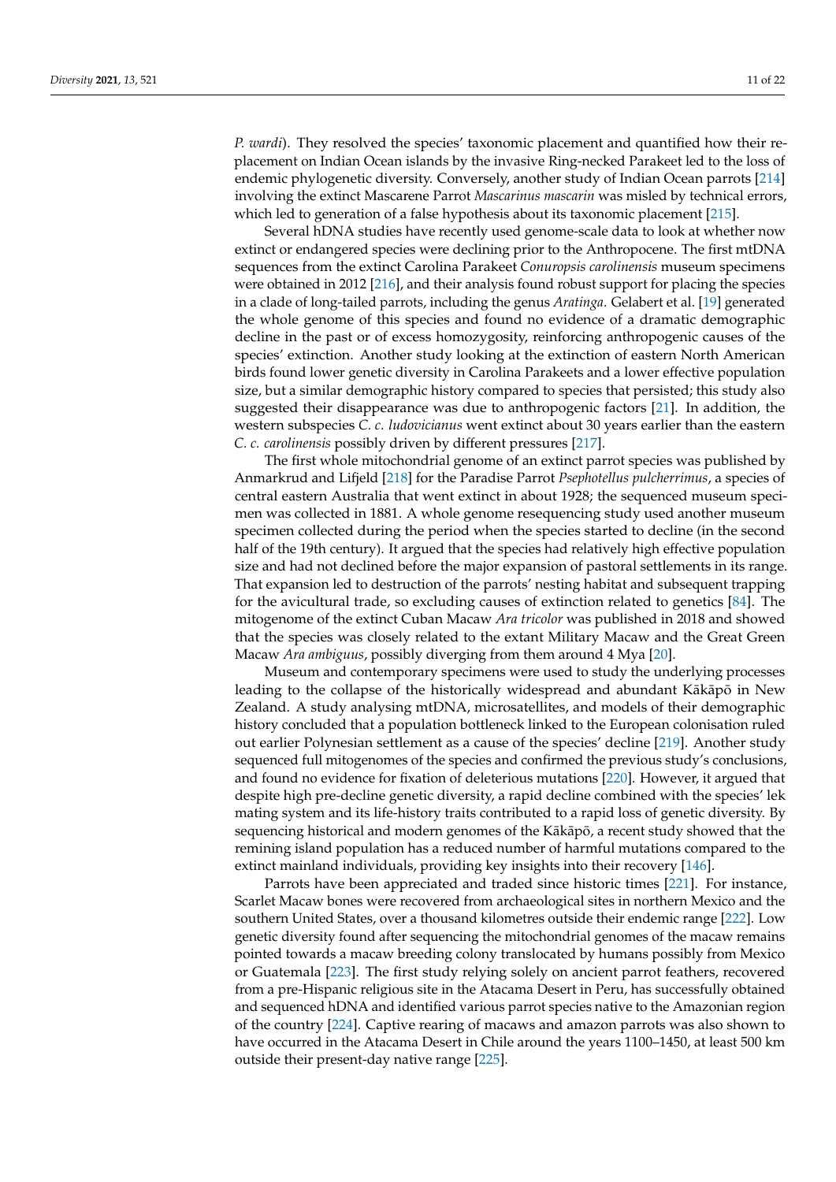*P. wardi*). They resolved the species' taxonomic placement and quantified how their replacement on Indian Ocean islands by the invasive Ring-necked Parakeet led to the loss of endemic phylogenetic diversity. Conversely, another study of Indian Ocean parrots [\[214\]](#page-22-1) involving the extinct Mascarene Parrot *Mascarinus mascarin* was misled by technical errors, which led to generation of a false hypothesis about its taxonomic placement [\[215\]](#page-22-2).

Several hDNA studies have recently used genome-scale data to look at whether now extinct or endangered species were declining prior to the Anthropocene. The first mtDNA sequences from the extinct Carolina Parakeet *Conuropsis carolinensis* museum specimens were obtained in 2012 [\[216\]](#page-22-3), and their analysis found robust support for placing the species in a clade of long-tailed parrots, including the genus *Aratinga*. Gelabert et al. [\[19\]](#page-15-2) generated the whole genome of this species and found no evidence of a dramatic demographic decline in the past or of excess homozygosity, reinforcing anthropogenic causes of the species' extinction. Another study looking at the extinction of eastern North American birds found lower genetic diversity in Carolina Parakeets and a lower effective population size, but a similar demographic history compared to species that persisted; this study also suggested their disappearance was due to anthropogenic factors [\[21\]](#page-15-3). In addition, the western subspecies *C. c. ludovicianus* went extinct about 30 years earlier than the eastern *C. c. carolinensis* possibly driven by different pressures [\[217\]](#page-22-4).

The first whole mitochondrial genome of an extinct parrot species was published by Anmarkrud and Lifjeld [\[218\]](#page-22-5) for the Paradise Parrot *Psephotellus pulcherrimus*, a species of central eastern Australia that went extinct in about 1928; the sequenced museum specimen was collected in 1881. A whole genome resequencing study used another museum specimen collected during the period when the species started to decline (in the second half of the 19th century). It argued that the species had relatively high effective population size and had not declined before the major expansion of pastoral settlements in its range. That expansion led to destruction of the parrots' nesting habitat and subsequent trapping for the avicultural trade, so excluding causes of extinction related to genetics [\[84\]](#page-17-10). The mitogenome of the extinct Cuban Macaw *Ara tricolor* was published in 2018 and showed that the species was closely related to the extant Military Macaw and the Great Green Macaw *Ara ambiguus*, possibly diverging from them around 4 Mya [\[20\]](#page-15-20).

Museum and contemporary specimens were used to study the underlying processes leading to the collapse of the historically widespread and abundant Kākāpō in New Zealand. A study analysing mtDNA, microsatellites, and models of their demographic history concluded that a population bottleneck linked to the European colonisation ruled out earlier Polynesian settlement as a cause of the species' decline [\[219\]](#page-22-6). Another study sequenced full mitogenomes of the species and confirmed the previous study's conclusions, and found no evidence for fixation of deleterious mutations [\[220\]](#page-22-7). However, it argued that despite high pre-decline genetic diversity, a rapid decline combined with the species' lek mating system and its life-history traits contributed to a rapid loss of genetic diversity. By sequencing historical and modern genomes of the Kākāpō, a recent study showed that the remining island population has a reduced number of harmful mutations compared to the extinct mainland individuals, providing key insights into their recovery [\[146\]](#page-19-16).

Parrots have been appreciated and traded since historic times [\[221\]](#page-22-8). For instance, Scarlet Macaw bones were recovered from archaeological sites in northern Mexico and the southern United States, over a thousand kilometres outside their endemic range [\[222\]](#page-22-9). Low genetic diversity found after sequencing the mitochondrial genomes of the macaw remains pointed towards a macaw breeding colony translocated by humans possibly from Mexico or Guatemala [\[223\]](#page-22-10). The first study relying solely on ancient parrot feathers, recovered from a pre-Hispanic religious site in the Atacama Desert in Peru, has successfully obtained and sequenced hDNA and identified various parrot species native to the Amazonian region of the country [\[224\]](#page-22-11). Captive rearing of macaws and amazon parrots was also shown to have occurred in the Atacama Desert in Chile around the years 1100–1450, at least 500 km outside their present-day native range [\[225\]](#page-22-12).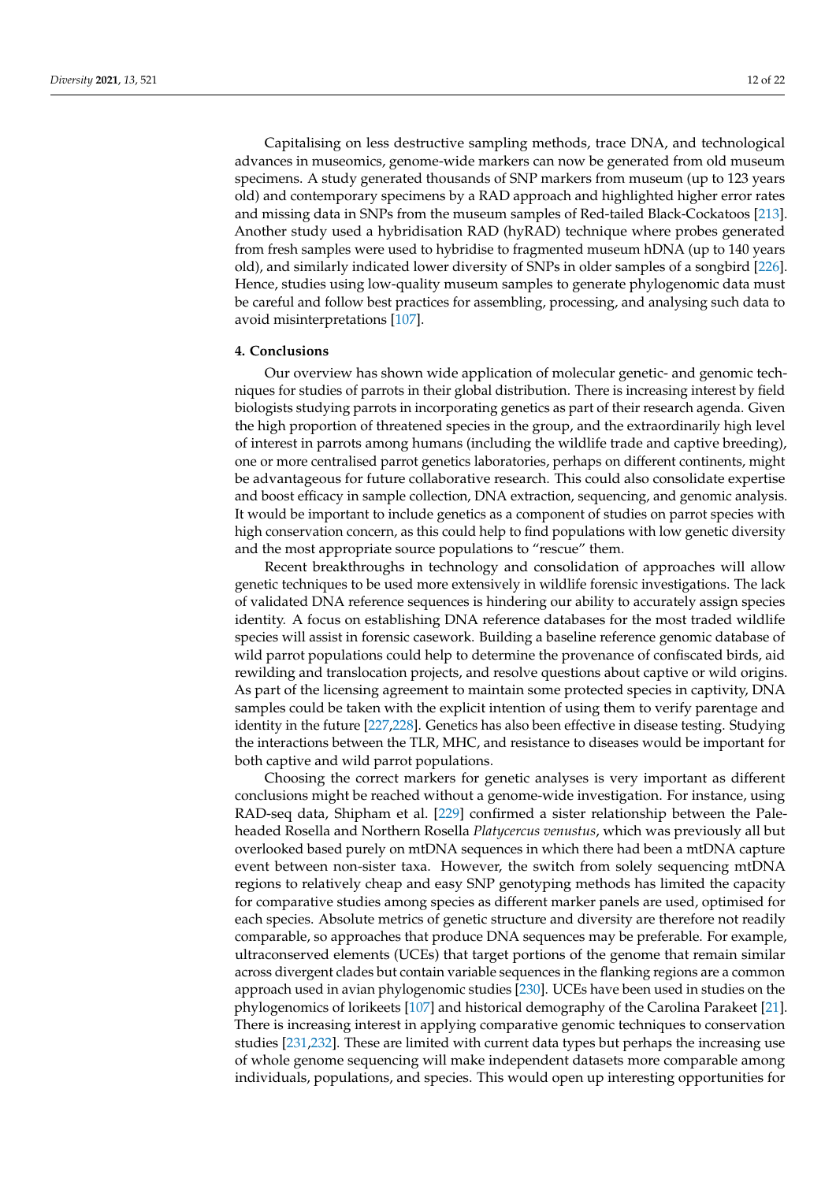Capitalising on less destructive sampling methods, trace DNA, and technological advances in museomics, genome-wide markers can now be generated from old museum specimens. A study generated thousands of SNP markers from museum (up to 123 years old) and contemporary specimens by a RAD approach and highlighted higher error rates and missing data in SNPs from the museum samples of Red-tailed Black-Cockatoos [\[213\]](#page-22-0). Another study used a hybridisation RAD (hyRAD) technique where probes generated from fresh samples were used to hybridise to fragmented museum hDNA (up to 140 years old), and similarly indicated lower diversity of SNPs in older samples of a songbird [\[226\]](#page-22-13). Hence, studies using low-quality museum samples to generate phylogenomic data must be careful and follow best practices for assembling, processing, and analysing such data to avoid misinterpretations [\[107\]](#page-18-5).

#### **4. Conclusions**

Our overview has shown wide application of molecular genetic- and genomic techniques for studies of parrots in their global distribution. There is increasing interest by field biologists studying parrots in incorporating genetics as part of their research agenda. Given the high proportion of threatened species in the group, and the extraordinarily high level of interest in parrots among humans (including the wildlife trade and captive breeding), one or more centralised parrot genetics laboratories, perhaps on different continents, might be advantageous for future collaborative research. This could also consolidate expertise and boost efficacy in sample collection, DNA extraction, sequencing, and genomic analysis. It would be important to include genetics as a component of studies on parrot species with high conservation concern, as this could help to find populations with low genetic diversity and the most appropriate source populations to "rescue" them.

Recent breakthroughs in technology and consolidation of approaches will allow genetic techniques to be used more extensively in wildlife forensic investigations. The lack of validated DNA reference sequences is hindering our ability to accurately assign species identity. A focus on establishing DNA reference databases for the most traded wildlife species will assist in forensic casework. Building a baseline reference genomic database of wild parrot populations could help to determine the provenance of confiscated birds, aid rewilding and translocation projects, and resolve questions about captive or wild origins. As part of the licensing agreement to maintain some protected species in captivity, DNA samples could be taken with the explicit intention of using them to verify parentage and identity in the future [\[227,](#page-22-14)[228\]](#page-22-15). Genetics has also been effective in disease testing. Studying the interactions between the TLR, MHC, and resistance to diseases would be important for both captive and wild parrot populations.

Choosing the correct markers for genetic analyses is very important as different conclusions might be reached without a genome-wide investigation. For instance, using RAD-seq data, Shipham et al. [\[229\]](#page-22-16) confirmed a sister relationship between the Paleheaded Rosella and Northern Rosella *Platycercus venustus*, which was previously all but overlooked based purely on mtDNA sequences in which there had been a mtDNA capture event between non-sister taxa. However, the switch from solely sequencing mtDNA regions to relatively cheap and easy SNP genotyping methods has limited the capacity for comparative studies among species as different marker panels are used, optimised for each species. Absolute metrics of genetic structure and diversity are therefore not readily comparable, so approaches that produce DNA sequences may be preferable. For example, ultraconserved elements (UCEs) that target portions of the genome that remain similar across divergent clades but contain variable sequences in the flanking regions are a common approach used in avian phylogenomic studies [\[230\]](#page-22-17). UCEs have been used in studies on the phylogenomics of lorikeets [\[107\]](#page-18-5) and historical demography of the Carolina Parakeet [\[21\]](#page-15-3). There is increasing interest in applying comparative genomic techniques to conservation studies [\[231,](#page-22-18)[232\]](#page-22-19). These are limited with current data types but perhaps the increasing use of whole genome sequencing will make independent datasets more comparable among individuals, populations, and species. This would open up interesting opportunities for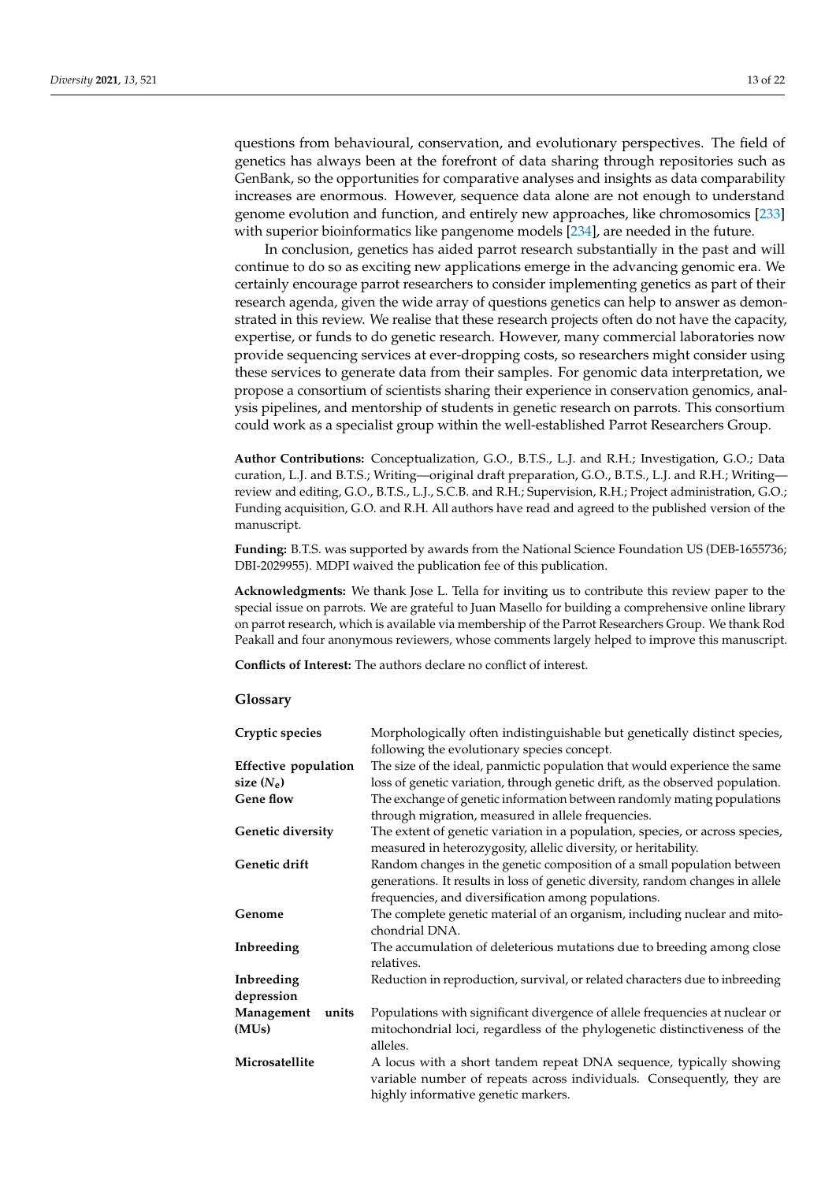questions from behavioural, conservation, and evolutionary perspectives. The field of genetics has always been at the forefront of data sharing through repositories such as GenBank, so the opportunities for comparative analyses and insights as data comparability increases are enormous. However, sequence data alone are not enough to understand genome evolution and function, and entirely new approaches, like chromosomics [\[233\]](#page-22-20) with superior bioinformatics like pangenome models [\[234\]](#page-22-21), are needed in the future.

In conclusion, genetics has aided parrot research substantially in the past and will continue to do so as exciting new applications emerge in the advancing genomic era. We certainly encourage parrot researchers to consider implementing genetics as part of their research agenda, given the wide array of questions genetics can help to answer as demonstrated in this review. We realise that these research projects often do not have the capacity, expertise, or funds to do genetic research. However, many commercial laboratories now provide sequencing services at ever-dropping costs, so researchers might consider using these services to generate data from their samples. For genomic data interpretation, we propose a consortium of scientists sharing their experience in conservation genomics, analysis pipelines, and mentorship of students in genetic research on parrots. This consortium could work as a specialist group within the well-established Parrot Researchers Group.

**Author Contributions:** Conceptualization, G.O., B.T.S., L.J. and R.H.; Investigation, G.O.; Data curation, L.J. and B.T.S.; Writing—original draft preparation, G.O., B.T.S., L.J. and R.H.; Writing review and editing, G.O., B.T.S., L.J., S.C.B. and R.H.; Supervision, R.H.; Project administration, G.O.; Funding acquisition, G.O. and R.H. All authors have read and agreed to the published version of the manuscript.

**Funding:** B.T.S. was supported by awards from the National Science Foundation US (DEB-1655736; DBI-2029955). MDPI waived the publication fee of this publication.

**Acknowledgments:** We thank Jose L. Tella for inviting us to contribute this review paper to the special issue on parrots. We are grateful to Juan Masello for building a comprehensive online library on parrot research, which is available via membership of the Parrot Researchers Group. We thank Rod Peakall and four anonymous reviewers, whose comments largely helped to improve this manuscript.

**Conflicts of Interest:** The authors declare no conflict of interest.

#### **Glossary**

| Cryptic species      | Morphologically often indistinguishable but genetically distinct species,                                                                                                                                        |
|----------------------|------------------------------------------------------------------------------------------------------------------------------------------------------------------------------------------------------------------|
|                      | following the evolutionary species concept.                                                                                                                                                                      |
| Effective population | The size of the ideal, panmictic population that would experience the same                                                                                                                                       |
| size $(N_e)$         | loss of genetic variation, through genetic drift, as the observed population.                                                                                                                                    |
| <b>Gene flow</b>     | The exchange of genetic information between randomly mating populations                                                                                                                                          |
|                      | through migration, measured in allele frequencies.                                                                                                                                                               |
| Genetic diversity    | The extent of genetic variation in a population, species, or across species,<br>measured in heterozygosity, allelic diversity, or heritability.                                                                  |
| Genetic drift        | Random changes in the genetic composition of a small population between<br>generations. It results in loss of genetic diversity, random changes in allele<br>frequencies, and diversification among populations. |
| Genome               | The complete genetic material of an organism, including nuclear and mito-<br>chondrial DNA.                                                                                                                      |
| Inbreeding           | The accumulation of deleterious mutations due to breeding among close<br>relatives.                                                                                                                              |
| Inbreeding           | Reduction in reproduction, survival, or related characters due to inbreeding                                                                                                                                     |
| depression           |                                                                                                                                                                                                                  |
| Management<br>units  | Populations with significant divergence of allele frequencies at nuclear or                                                                                                                                      |
| (MU <sub>s</sub> )   | mitochondrial loci, regardless of the phylogenetic distinctiveness of the<br>alleles.                                                                                                                            |
| Microsatellite       | A locus with a short tandem repeat DNA sequence, typically showing<br>variable number of repeats across individuals. Consequently, they are<br>highly informative genetic markers.                               |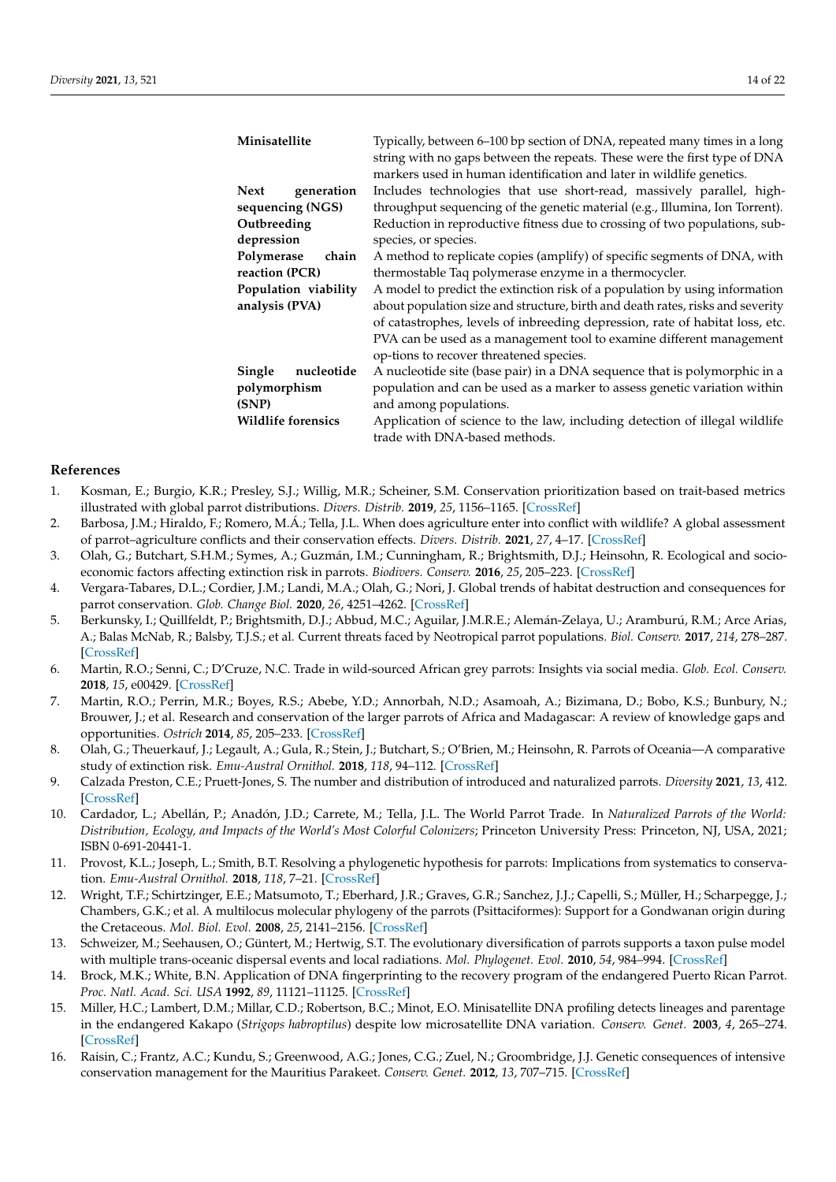| Typically, between 6-100 bp section of DNA, repeated many times in a long<br>string with no gaps between the repeats. These were the first type of DNA<br>markers used in human identification and later in wildlife genetics. |
|--------------------------------------------------------------------------------------------------------------------------------------------------------------------------------------------------------------------------------|
| Includes technologies that use short-read, massively parallel, high-                                                                                                                                                           |
| throughput sequencing of the genetic material (e.g., Illumina, Ion Torrent).                                                                                                                                                   |
| Reduction in reproductive fitness due to crossing of two populations, sub-                                                                                                                                                     |
| species, or species.                                                                                                                                                                                                           |
| A method to replicate copies (amplify) of specific segments of DNA, with                                                                                                                                                       |
| thermostable Taq polymerase enzyme in a thermocycler.                                                                                                                                                                          |
| A model to predict the extinction risk of a population by using information                                                                                                                                                    |
| about population size and structure, birth and death rates, risks and severity                                                                                                                                                 |
| of catastrophes, levels of inbreeding depression, rate of habitat loss, etc.                                                                                                                                                   |
| PVA can be used as a management tool to examine different management                                                                                                                                                           |
| op-tions to recover threatened species.                                                                                                                                                                                        |
| A nucleotide site (base pair) in a DNA sequence that is polymorphic in a                                                                                                                                                       |
| population and can be used as a marker to assess genetic variation within                                                                                                                                                      |
| and among populations.                                                                                                                                                                                                         |
| Application of science to the law, including detection of illegal wildlife                                                                                                                                                     |
| trade with DNA-based methods.                                                                                                                                                                                                  |
|                                                                                                                                                                                                                                |

#### **References**

- <span id="page-14-0"></span>1. Kosman, E.; Burgio, K.R.; Presley, S.J.; Willig, M.R.; Scheiner, S.M. Conservation prioritization based on trait-based metrics illustrated with global parrot distributions. *Divers. Distrib.* **2019**, *25*, 1156–1165. [\[CrossRef\]](http://doi.org/10.1111/ddi.12923)
- <span id="page-14-1"></span>2. Barbosa, J.M.; Hiraldo, F.; Romero, M.Á.; Tella, J.L. When does agriculture enter into conflict with wildlife? A global assessment of parrot–agriculture conflicts and their conservation effects. *Divers. Distrib.* **2021**, *27*, 4–17. [\[CrossRef\]](http://doi.org/10.1111/ddi.13170)
- <span id="page-14-2"></span>3. Olah, G.; Butchart, S.H.M.; Symes, A.; Guzmán, I.M.; Cunningham, R.; Brightsmith, D.J.; Heinsohn, R. Ecological and socioeconomic factors affecting extinction risk in parrots. *Biodivers. Conserv.* **2016**, *25*, 205–223. [\[CrossRef\]](http://doi.org/10.1007/s10531-015-1036-z)
- <span id="page-14-3"></span>4. Vergara-Tabares, D.L.; Cordier, J.M.; Landi, M.A.; Olah, G.; Nori, J. Global trends of habitat destruction and consequences for parrot conservation. *Glob. Change Biol.* **2020**, *26*, 4251–4262. [\[CrossRef\]](http://doi.org/10.1111/gcb.15135)
- <span id="page-14-4"></span>5. Berkunsky, I.; Quillfeldt, P.; Brightsmith, D.J.; Abbud, M.C.; Aguilar, J.M.R.E.; Alemán-Zelaya, U.; Aramburú, R.M.; Arce Arias, A.; Balas McNab, R.; Balsby, T.J.S.; et al. Current threats faced by Neotropical parrot populations. *Biol. Conserv.* **2017**, *214*, 278–287. [\[CrossRef\]](http://doi.org/10.1016/j.biocon.2017.08.016)
- <span id="page-14-5"></span>6. Martin, R.O.; Senni, C.; D'Cruze, N.C. Trade in wild-sourced African grey parrots: Insights via social media. *Glob. Ecol. Conserv.* **2018**, *15*, e00429. [\[CrossRef\]](http://doi.org/10.1016/j.gecco.2018.e00429)
- <span id="page-14-6"></span>7. Martin, R.O.; Perrin, M.R.; Boyes, R.S.; Abebe, Y.D.; Annorbah, N.D.; Asamoah, A.; Bizimana, D.; Bobo, K.S.; Bunbury, N.; Brouwer, J.; et al. Research and conservation of the larger parrots of Africa and Madagascar: A review of knowledge gaps and opportunities. *Ostrich* **2014**, *85*, 205–233. [\[CrossRef\]](http://doi.org/10.2989/00306525.2014.948943)
- <span id="page-14-7"></span>8. Olah, G.; Theuerkauf, J.; Legault, A.; Gula, R.; Stein, J.; Butchart, S.; O'Brien, M.; Heinsohn, R. Parrots of Oceania—A comparative study of extinction risk. *Emu-Austral Ornithol.* **2018**, *118*, 94–112. [\[CrossRef\]](http://doi.org/10.1080/01584197.2017.1410066)
- <span id="page-14-8"></span>9. Calzada Preston, C.E.; Pruett-Jones, S. The number and distribution of introduced and naturalized parrots. *Diversity* **2021**, *13*, 412. [\[CrossRef\]](http://doi.org/10.3390/d13090412)
- <span id="page-14-9"></span>10. Cardador, L.; Abellán, P.; Anadón, J.D.; Carrete, M.; Tella, J.L. The World Parrot Trade. In *Naturalized Parrots of the World: Distribution, Ecology, and Impacts of the World's Most Colorful Colonizers*; Princeton University Press: Princeton, NJ, USA, 2021; ISBN 0-691-20441-1.
- <span id="page-14-10"></span>11. Provost, K.L.; Joseph, L.; Smith, B.T. Resolving a phylogenetic hypothesis for parrots: Implications from systematics to conservation. *Emu-Austral Ornithol.* **2018**, *118*, 7–21. [\[CrossRef\]](http://doi.org/10.1080/01584197.2017.1387030)
- <span id="page-14-11"></span>12. Wright, T.F.; Schirtzinger, E.E.; Matsumoto, T.; Eberhard, J.R.; Graves, G.R.; Sanchez, J.J.; Capelli, S.; Müller, H.; Scharpegge, J.; Chambers, G.K.; et al. A multilocus molecular phylogeny of the parrots (Psittaciformes): Support for a Gondwanan origin during the Cretaceous. *Mol. Biol. Evol.* **2008**, *25*, 2141–2156. [\[CrossRef\]](http://doi.org/10.1093/molbev/msn160)
- <span id="page-14-12"></span>13. Schweizer, M.; Seehausen, O.; Güntert, M.; Hertwig, S.T. The evolutionary diversification of parrots supports a taxon pulse model with multiple trans-oceanic dispersal events and local radiations. *Mol. Phylogenet. Evol.* **2010**, *54*, 984–994. [\[CrossRef\]](http://doi.org/10.1016/j.ympev.2009.08.021)
- <span id="page-14-13"></span>14. Brock, M.K.; White, B.N. Application of DNA fingerprinting to the recovery program of the endangered Puerto Rican Parrot. *Proc. Natl. Acad. Sci. USA* **1992**, *89*, 11121–11125. [\[CrossRef\]](http://doi.org/10.1073/pnas.89.23.11121)
- <span id="page-14-15"></span>15. Miller, H.C.; Lambert, D.M.; Millar, C.D.; Robertson, B.C.; Minot, E.O. Minisatellite DNA profiling detects lineages and parentage in the endangered Kakapo (*Strigops habroptilus*) despite low microsatellite DNA variation. *Conserv. Genet.* **2003**, *4*, 265–274. [\[CrossRef\]](http://doi.org/10.1023/A:1024037601708)
- <span id="page-14-14"></span>16. Raisin, C.; Frantz, A.C.; Kundu, S.; Greenwood, A.G.; Jones, C.G.; Zuel, N.; Groombridge, J.J. Genetic consequences of intensive conservation management for the Mauritius Parakeet. *Conserv. Genet.* **2012**, *13*, 707–715. [\[CrossRef\]](http://doi.org/10.1007/s10592-012-0319-0)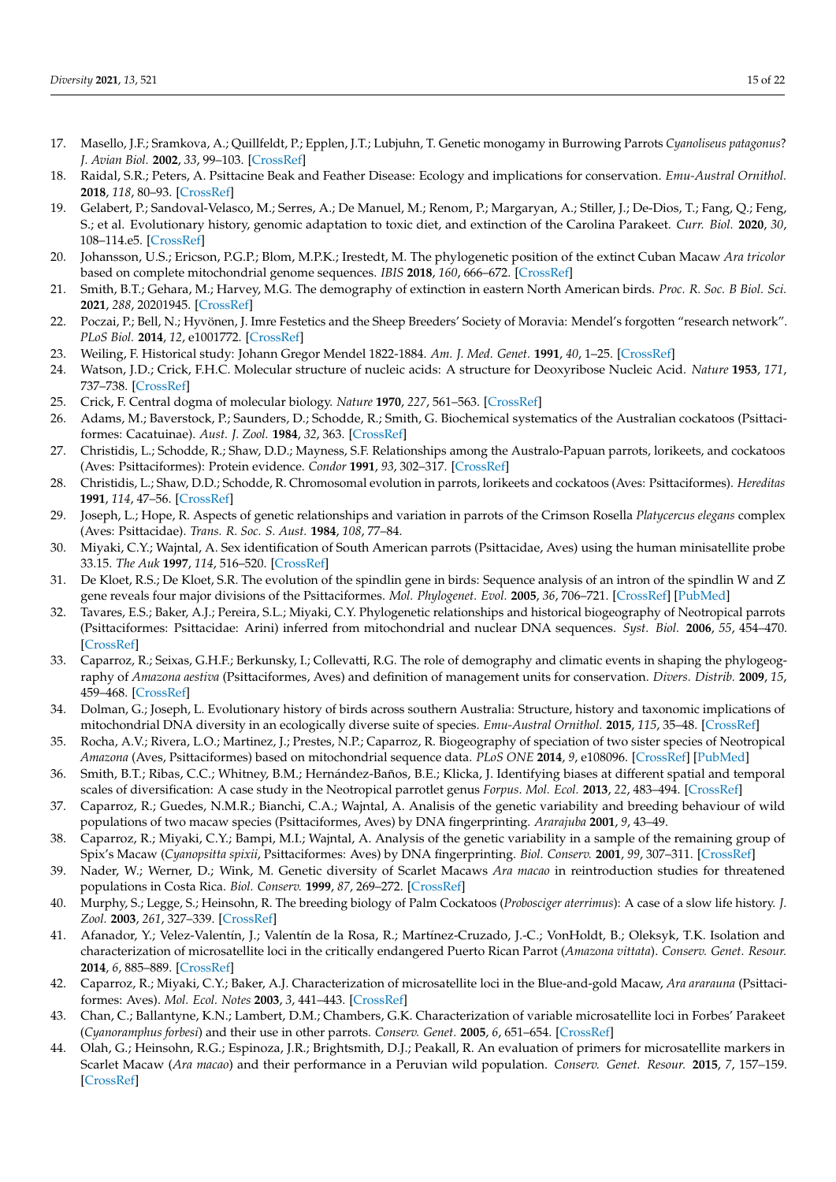- <span id="page-15-0"></span>17. Masello, J.F.; Sramkova, A.; Quillfeldt, P.; Epplen, J.T.; Lubjuhn, T. Genetic monogamy in Burrowing Parrots *Cyanoliseus patagonus*? *J. Avian Biol.* **2002**, *33*, 99–103. [\[CrossRef\]](http://doi.org/10.1034/j.1600-048X.2002.330116.x)
- <span id="page-15-1"></span>18. Raidal, S.R.; Peters, A. Psittacine Beak and Feather Disease: Ecology and implications for conservation. *Emu-Austral Ornithol.* **2018**, *118*, 80–93. [\[CrossRef\]](http://doi.org/10.1080/01584197.2017.1387029)
- <span id="page-15-2"></span>19. Gelabert, P.; Sandoval-Velasco, M.; Serres, A.; De Manuel, M.; Renom, P.; Margaryan, A.; Stiller, J.; De-Dios, T.; Fang, Q.; Feng, S.; et al. Evolutionary history, genomic adaptation to toxic diet, and extinction of the Carolina Parakeet. *Curr. Biol.* **2020**, *30*, 108–114.e5. [\[CrossRef\]](http://doi.org/10.1016/j.cub.2019.10.066)
- <span id="page-15-20"></span>20. Johansson, U.S.; Ericson, P.G.P.; Blom, M.P.K.; Irestedt, M. The phylogenetic position of the extinct Cuban Macaw *Ara tricolor* based on complete mitochondrial genome sequences. *IBIS* **2018**, *160*, 666–672. [\[CrossRef\]](http://doi.org/10.1111/ibi.12591)
- <span id="page-15-3"></span>21. Smith, B.T.; Gehara, M.; Harvey, M.G. The demography of extinction in eastern North American birds. *Proc. R. Soc. B Biol. Sci.* **2021**, *288*, 20201945. [\[CrossRef\]](http://doi.org/10.1098/rspb.2020.1945)
- <span id="page-15-4"></span>22. Poczai, P.; Bell, N.; Hyvönen, J. Imre Festetics and the Sheep Breeders' Society of Moravia: Mendel's forgotten "research network". *PLoS Biol.* **2014**, *12*, e1001772. [\[CrossRef\]](http://doi.org/10.1371/journal.pbio.1001772)
- <span id="page-15-5"></span>23. Weiling, F. Historical study: Johann Gregor Mendel 1822-1884. *Am. J. Med. Genet.* **1991**, *40*, 1–25. [\[CrossRef\]](http://doi.org/10.1002/ajmg.1320400103)
- <span id="page-15-6"></span>24. Watson, J.D.; Crick, F.H.C. Molecular structure of nucleic acids: A structure for Deoxyribose Nucleic Acid. *Nature* **1953**, *171*, 737–738. [\[CrossRef\]](http://doi.org/10.1038/171737a0)
- <span id="page-15-7"></span>25. Crick, F. Central dogma of molecular biology. *Nature* **1970**, *227*, 561–563. [\[CrossRef\]](http://doi.org/10.1038/227561a0)
- <span id="page-15-8"></span>26. Adams, M.; Baverstock, P.; Saunders, D.; Schodde, R.; Smith, G. Biochemical systematics of the Australian cockatoos (Psittaciformes: Cacatuinae). *Aust. J. Zool.* **1984**, *32*, 363. [\[CrossRef\]](http://doi.org/10.1071/ZO9840363)
- 27. Christidis, L.; Schodde, R.; Shaw, D.D.; Mayness, S.F. Relationships among the Australo-Papuan parrots, lorikeets, and cockatoos (Aves: Psittaciformes): Protein evidence. *Condor* **1991**, *93*, 302–317. [\[CrossRef\]](http://doi.org/10.2307/1368946)
- 28. Christidis, L.; Shaw, D.D.; Schodde, R. Chromosomal evolution in parrots, lorikeets and cockatoos (Aves: Psittaciformes). *Hereditas* **1991**, *114*, 47–56. [\[CrossRef\]](http://doi.org/10.1111/j.1601-5223.1991.tb00552.x)
- <span id="page-15-9"></span>29. Joseph, L.; Hope, R. Aspects of genetic relationships and variation in parrots of the Crimson Rosella *Platycercus elegans* complex (Aves: Psittacidae). *Trans. R. Soc. S. Aust.* **1984**, *108*, 77–84.
- <span id="page-15-10"></span>30. Miyaki, C.Y.; Wajntal, A. Sex identification of South American parrots (Psittacidae, Aves) using the human minisatellite probe 33.15. *The Auk* **1997**, *114*, 516–520. [\[CrossRef\]](http://doi.org/10.2307/4089258)
- <span id="page-15-11"></span>31. De Kloet, R.S.; De Kloet, S.R. The evolution of the spindlin gene in birds: Sequence analysis of an intron of the spindlin W and Z gene reveals four major divisions of the Psittaciformes. *Mol. Phylogenet. Evol.* **2005**, *36*, 706–721. [\[CrossRef\]](http://doi.org/10.1016/j.ympev.2005.03.013) [\[PubMed\]](http://www.ncbi.nlm.nih.gov/pubmed/16099384)
- <span id="page-15-12"></span>32. Tavares, E.S.; Baker, A.J.; Pereira, S.L.; Miyaki, C.Y. Phylogenetic relationships and historical biogeography of Neotropical parrots (Psittaciformes: Psittacidae: Arini) inferred from mitochondrial and nuclear DNA sequences. *Syst. Biol.* **2006**, *55*, 454–470. [\[CrossRef\]](http://doi.org/10.1080/10635150600697390)
- <span id="page-15-13"></span>33. Caparroz, R.; Seixas, G.H.F.; Berkunsky, I.; Collevatti, R.G. The role of demography and climatic events in shaping the phylogeography of *Amazona aestiva* (Psittaciformes, Aves) and definition of management units for conservation. *Divers. Distrib.* **2009**, *15*, 459–468. [\[CrossRef\]](http://doi.org/10.1111/j.1472-4642.2009.00558.x)
- 34. Dolman, G.; Joseph, L. Evolutionary history of birds across southern Australia: Structure, history and taxonomic implications of mitochondrial DNA diversity in an ecologically diverse suite of species. *Emu-Austral Ornithol.* **2015**, *115*, 35–48. [\[CrossRef\]](http://doi.org/10.1071/MU14047)
- 35. Rocha, A.V.; Rivera, L.O.; Martinez, J.; Prestes, N.P.; Caparroz, R. Biogeography of speciation of two sister species of Neotropical *Amazona* (Aves, Psittaciformes) based on mitochondrial sequence data. *PLoS ONE* **2014**, *9*, e108096. [\[CrossRef\]](http://doi.org/10.1371/journal.pone.0108096) [\[PubMed\]](http://www.ncbi.nlm.nih.gov/pubmed/25251765)
- <span id="page-15-14"></span>36. Smith, B.T.; Ribas, C.C.; Whitney, B.M.; Hernández-Baños, B.E.; Klicka, J. Identifying biases at different spatial and temporal scales of diversification: A case study in the Neotropical parrotlet genus *Forpus*. *Mol. Ecol.* **2013**, *22*, 483–494. [\[CrossRef\]](http://doi.org/10.1111/mec.12118)
- <span id="page-15-15"></span>37. Caparroz, R.; Guedes, N.M.R.; Bianchi, C.A.; Wajntal, A. Analisis of the genetic variability and breeding behaviour of wild populations of two macaw species (Psittaciformes, Aves) by DNA fingerprinting. *Ararajuba* **2001**, *9*, 43–49.
- 38. Caparroz, R.; Miyaki, C.Y.; Bampi, M.I.; Wajntal, A. Analysis of the genetic variability in a sample of the remaining group of Spix's Macaw (*Cyanopsitta spixii*, Psittaciformes: Aves) by DNA fingerprinting. *Biol. Conserv.* **2001**, *99*, 307–311. [\[CrossRef\]](http://doi.org/10.1016/S0006-3207(00)00196-8)
- <span id="page-15-16"></span>39. Nader, W.; Werner, D.; Wink, M. Genetic diversity of Scarlet Macaws *Ara macao* in reintroduction studies for threatened populations in Costa Rica. *Biol. Conserv.* **1999**, *87*, 269–272. [\[CrossRef\]](http://doi.org/10.1016/S0006-3207(98)00043-3)
- <span id="page-15-17"></span>40. Murphy, S.; Legge, S.; Heinsohn, R. The breeding biology of Palm Cockatoos (*Probosciger aterrimus*): A case of a slow life history. *J. Zool.* **2003**, *261*, 327–339. [\[CrossRef\]](http://doi.org/10.1017/S0952836903004175)
- <span id="page-15-18"></span>41. Afanador, Y.; Velez-Valentín, J.; Valentín de la Rosa, R.; Martínez-Cruzado, J.-C.; VonHoldt, B.; Oleksyk, T.K. Isolation and characterization of microsatellite loci in the critically endangered Puerto Rican Parrot (*Amazona vittata*). *Conserv. Genet. Resour.* **2014**, *6*, 885–889. [\[CrossRef\]](http://doi.org/10.1007/s12686-014-0232-6)
- 42. Caparroz, R.; Miyaki, C.Y.; Baker, A.J. Characterization of microsatellite loci in the Blue-and-gold Macaw, *Ara ararauna* (Psittaciformes: Aves). *Mol. Ecol. Notes* **2003**, *3*, 441–443. [\[CrossRef\]](http://doi.org/10.1046/j.1471-8286.2003.00475.x)
- 43. Chan, C.; Ballantyne, K.N.; Lambert, D.M.; Chambers, G.K. Characterization of variable microsatellite loci in Forbes' Parakeet (*Cyanoramphus forbesi*) and their use in other parrots. *Conserv. Genet.* **2005**, *6*, 651–654. [\[CrossRef\]](http://doi.org/10.1007/s10592-005-9021-9)
- <span id="page-15-19"></span>44. Olah, G.; Heinsohn, R.G.; Espinoza, J.R.; Brightsmith, D.J.; Peakall, R. An evaluation of primers for microsatellite markers in Scarlet Macaw (*Ara macao*) and their performance in a Peruvian wild population. *Conserv. Genet. Resour.* **2015**, *7*, 157–159. [\[CrossRef\]](http://doi.org/10.1007/s12686-014-0317-2)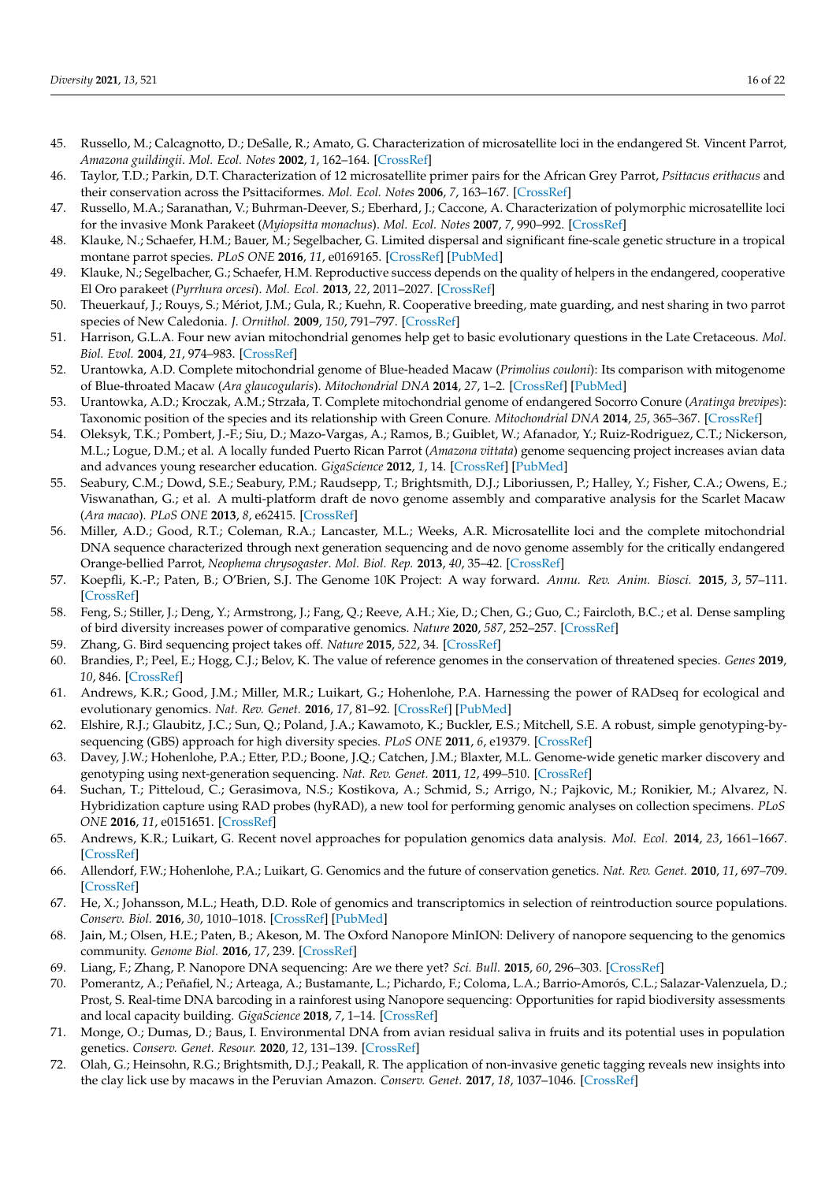- 45. Russello, M.; Calcagnotto, D.; DeSalle, R.; Amato, G. Characterization of microsatellite loci in the endangered St. Vincent Parrot, *Amazona guildingii*. *Mol. Ecol. Notes* **2002**, *1*, 162–164. [\[CrossRef\]](http://doi.org/10.1046/j.1471-8278.2001.00061.x)
- 46. Taylor, T.D.; Parkin, D.T. Characterization of 12 microsatellite primer pairs for the African Grey Parrot, *Psittacus erithacus* and their conservation across the Psittaciformes. *Mol. Ecol. Notes* **2006**, *7*, 163–167. [\[CrossRef\]](http://doi.org/10.1111/j.1471-8286.2006.01566.x)
- <span id="page-16-0"></span>47. Russello, M.A.; Saranathan, V.; Buhrman-Deever, S.; Eberhard, J.; Caccone, A. Characterization of polymorphic microsatellite loci for the invasive Monk Parakeet (*Myiopsitta monachus*). *Mol. Ecol. Notes* **2007**, *7*, 990–992. [\[CrossRef\]](http://doi.org/10.1111/j.1471-8286.2007.01749.x)
- <span id="page-16-1"></span>48. Klauke, N.; Schaefer, H.M.; Bauer, M.; Segelbacher, G. Limited dispersal and significant fine-scale genetic structure in a tropical montane parrot species. *PLoS ONE* **2016**, *11*, e0169165. [\[CrossRef\]](http://doi.org/10.1371/journal.pone.0169165) [\[PubMed\]](http://www.ncbi.nlm.nih.gov/pubmed/28033364)
- <span id="page-16-2"></span>49. Klauke, N.; Segelbacher, G.; Schaefer, H.M. Reproductive success depends on the quality of helpers in the endangered, cooperative El Oro parakeet (*Pyrrhura orcesi*). *Mol. Ecol.* **2013**, *22*, 2011–2027. [\[CrossRef\]](http://doi.org/10.1111/mec.12219)
- <span id="page-16-3"></span>50. Theuerkauf, J.; Rouys, S.; Mériot, J.M.; Gula, R.; Kuehn, R. Cooperative breeding, mate guarding, and nest sharing in two parrot species of New Caledonia. *J. Ornithol.* **2009**, *150*, 791–797. [\[CrossRef\]](http://doi.org/10.1007/s10336-009-0400-8)
- <span id="page-16-4"></span>51. Harrison, G.L.A. Four new avian mitochondrial genomes help get to basic evolutionary questions in the Late Cretaceous. *Mol. Biol. Evol.* **2004**, *21*, 974–983. [\[CrossRef\]](http://doi.org/10.1093/molbev/msh065)
- <span id="page-16-5"></span>52. Urantowka, A.D. Complete mitochondrial genome of Blue-headed Macaw (*Primolius couloni*): Its comparison with mitogenome of Blue-throated Macaw (*Ara glaucogularis*). *Mitochondrial DNA* **2014**, *27*, 1–2. [\[CrossRef\]](http://doi.org/10.3109/19401736.2014.982578) [\[PubMed\]](http://www.ncbi.nlm.nih.gov/pubmed/25391030)
- <span id="page-16-6"></span>53. Urantowka, A.D.; Kroczak, A.M.; Strzała, T. Complete mitochondrial genome of endangered Socorro Conure (*Aratinga brevipes*): Taxonomic position of the species and its relationship with Green Conure. *Mitochondrial DNA* **2014**, *25*, 365–367. [\[CrossRef\]](http://doi.org/10.3109/19401736.2013.803095)
- <span id="page-16-7"></span>54. Oleksyk, T.K.; Pombert, J.-F.; Siu, D.; Mazo-Vargas, A.; Ramos, B.; Guiblet, W.; Afanador, Y.; Ruiz-Rodriguez, C.T.; Nickerson, M.L.; Logue, D.M.; et al. A locally funded Puerto Rican Parrot (*Amazona vittata*) genome sequencing project increases avian data and advances young researcher education. *GigaScience* **2012**, *1*, 14. [\[CrossRef\]](http://doi.org/10.1186/2047-217X-1-14) [\[PubMed\]](http://www.ncbi.nlm.nih.gov/pubmed/23587420)
- <span id="page-16-8"></span>55. Seabury, C.M.; Dowd, S.E.; Seabury, P.M.; Raudsepp, T.; Brightsmith, D.J.; Liboriussen, P.; Halley, Y.; Fisher, C.A.; Owens, E.; Viswanathan, G.; et al. A multi-platform draft de novo genome assembly and comparative analysis for the Scarlet Macaw (*Ara macao*). *PLoS ONE* **2013**, *8*, e62415. [\[CrossRef\]](http://doi.org/10.1371/journal.pone.0062415)
- <span id="page-16-9"></span>56. Miller, A.D.; Good, R.T.; Coleman, R.A.; Lancaster, M.L.; Weeks, A.R. Microsatellite loci and the complete mitochondrial DNA sequence characterized through next generation sequencing and de novo genome assembly for the critically endangered Orange-bellied Parrot, *Neophema chrysogaster*. *Mol. Biol. Rep.* **2013**, *40*, 35–42. [\[CrossRef\]](http://doi.org/10.1007/s11033-012-1950-z)
- <span id="page-16-10"></span>57. Koepfli, K.-P.; Paten, B.; O'Brien, S.J. The Genome 10K Project: A way forward. *Annu. Rev. Anim. Biosci.* **2015**, *3*, 57–111. [\[CrossRef\]](http://doi.org/10.1146/annurev-animal-090414-014900)
- <span id="page-16-11"></span>58. Feng, S.; Stiller, J.; Deng, Y.; Armstrong, J.; Fang, Q.; Reeve, A.H.; Xie, D.; Chen, G.; Guo, C.; Faircloth, B.C.; et al. Dense sampling of bird diversity increases power of comparative genomics. *Nature* **2020**, *587*, 252–257. [\[CrossRef\]](http://doi.org/10.1038/s41586-020-2873-9)
- <span id="page-16-12"></span>59. Zhang, G. Bird sequencing project takes off. *Nature* **2015**, *522*, 34. [\[CrossRef\]](http://doi.org/10.1038/522034d)
- <span id="page-16-13"></span>60. Brandies, P.; Peel, E.; Hogg, C.J.; Belov, K. The value of reference genomes in the conservation of threatened species. *Genes* **2019**, *10*, 846. [\[CrossRef\]](http://doi.org/10.3390/genes10110846)
- <span id="page-16-14"></span>61. Andrews, K.R.; Good, J.M.; Miller, M.R.; Luikart, G.; Hohenlohe, P.A. Harnessing the power of RADseq for ecological and evolutionary genomics. *Nat. Rev. Genet.* **2016**, *17*, 81–92. [\[CrossRef\]](http://doi.org/10.1038/nrg.2015.28) [\[PubMed\]](http://www.ncbi.nlm.nih.gov/pubmed/26729255)
- <span id="page-16-15"></span>62. Elshire, R.J.; Glaubitz, J.C.; Sun, Q.; Poland, J.A.; Kawamoto, K.; Buckler, E.S.; Mitchell, S.E. A robust, simple genotyping-bysequencing (GBS) approach for high diversity species. *PLoS ONE* **2011**, *6*, e19379. [\[CrossRef\]](http://doi.org/10.1371/journal.pone.0019379)
- <span id="page-16-16"></span>63. Davey, J.W.; Hohenlohe, P.A.; Etter, P.D.; Boone, J.Q.; Catchen, J.M.; Blaxter, M.L. Genome-wide genetic marker discovery and genotyping using next-generation sequencing. *Nat. Rev. Genet.* **2011**, *12*, 499–510. [\[CrossRef\]](http://doi.org/10.1038/nrg3012)
- <span id="page-16-17"></span>64. Suchan, T.; Pitteloud, C.; Gerasimova, N.S.; Kostikova, A.; Schmid, S.; Arrigo, N.; Pajkovic, M.; Ronikier, M.; Alvarez, N. Hybridization capture using RAD probes (hyRAD), a new tool for performing genomic analyses on collection specimens. *PLoS ONE* **2016**, *11*, e0151651. [\[CrossRef\]](http://doi.org/10.1371/journal.pone.0151651)
- <span id="page-16-18"></span>65. Andrews, K.R.; Luikart, G. Recent novel approaches for population genomics data analysis. *Mol. Ecol.* **2014**, *23*, 1661–1667. [\[CrossRef\]](http://doi.org/10.1111/mec.12686)
- <span id="page-16-19"></span>66. Allendorf, F.W.; Hohenlohe, P.A.; Luikart, G. Genomics and the future of conservation genetics. *Nat. Rev. Genet.* **2010**, *11*, 697–709. [\[CrossRef\]](http://doi.org/10.1038/nrg2844)
- <span id="page-16-20"></span>67. He, X.; Johansson, M.L.; Heath, D.D. Role of genomics and transcriptomics in selection of reintroduction source populations. *Conserv. Biol.* **2016**, *30*, 1010–1018. [\[CrossRef\]](http://doi.org/10.1111/cobi.12674) [\[PubMed\]](http://www.ncbi.nlm.nih.gov/pubmed/26756292)
- <span id="page-16-21"></span>68. Jain, M.; Olsen, H.E.; Paten, B.; Akeson, M. The Oxford Nanopore MinION: Delivery of nanopore sequencing to the genomics community. *Genome Biol.* **2016**, *17*, 239. [\[CrossRef\]](http://doi.org/10.1186/s13059-016-1103-0)
- <span id="page-16-22"></span>69. Liang, F.; Zhang, P. Nanopore DNA sequencing: Are we there yet? *Sci. Bull.* **2015**, *60*, 296–303. [\[CrossRef\]](http://doi.org/10.1007/s11434-014-0629-3)
- <span id="page-16-23"></span>70. Pomerantz, A.; Peñafiel, N.; Arteaga, A.; Bustamante, L.; Pichardo, F.; Coloma, L.A.; Barrio-Amorós, C.L.; Salazar-Valenzuela, D.; Prost, S. Real-time DNA barcoding in a rainforest using Nanopore sequencing: Opportunities for rapid biodiversity assessments and local capacity building. *GigaScience* **2018**, *7*, 1–14. [\[CrossRef\]](http://doi.org/10.1093/gigascience/giy033)
- <span id="page-16-24"></span>71. Monge, O.; Dumas, D.; Baus, I. Environmental DNA from avian residual saliva in fruits and its potential uses in population genetics. *Conserv. Genet. Resour.* **2020**, *12*, 131–139. [\[CrossRef\]](http://doi.org/10.1007/s12686-018-1074-4)
- <span id="page-16-25"></span>72. Olah, G.; Heinsohn, R.G.; Brightsmith, D.J.; Peakall, R. The application of non-invasive genetic tagging reveals new insights into the clay lick use by macaws in the Peruvian Amazon. *Conserv. Genet.* **2017**, *18*, 1037–1046. [\[CrossRef\]](http://doi.org/10.1007/s10592-017-0954-6)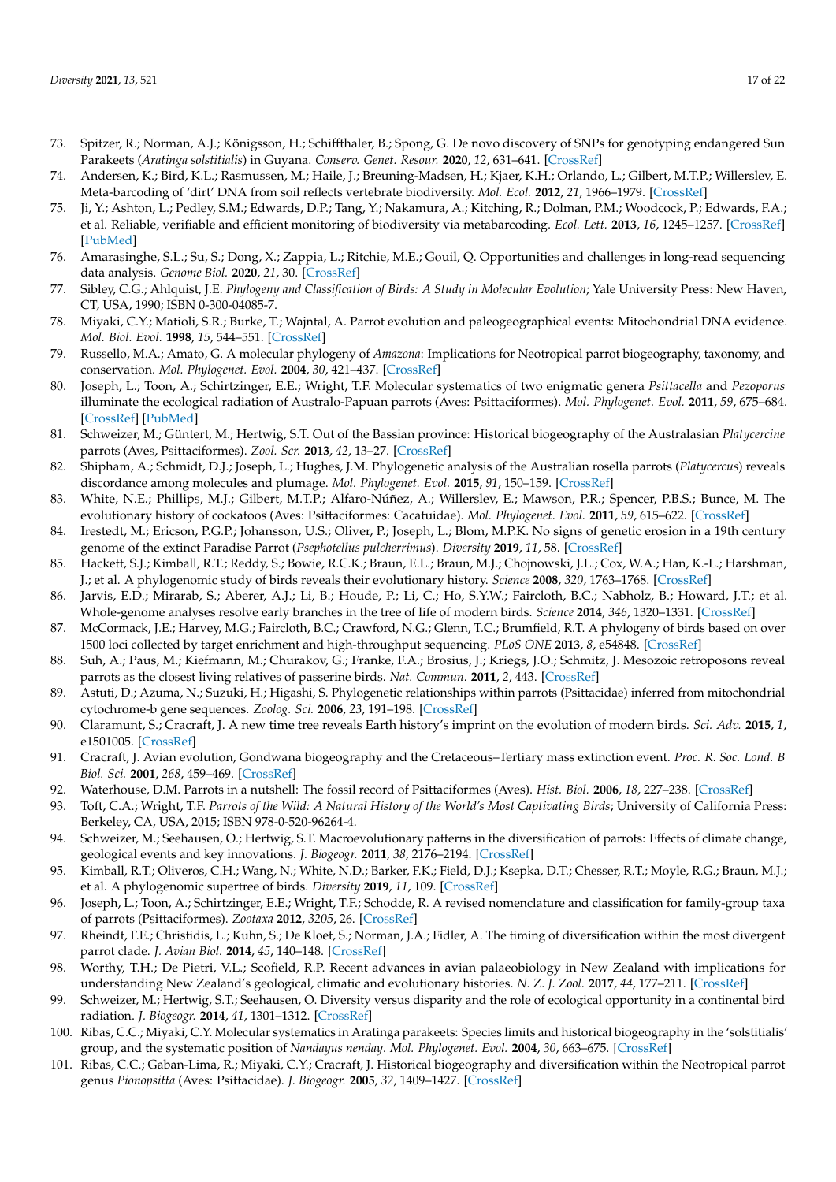- <span id="page-17-0"></span>73. Spitzer, R.; Norman, A.J.; Königsson, H.; Schiffthaler, B.; Spong, G. De novo discovery of SNPs for genotyping endangered Sun Parakeets (*Aratinga solstitialis*) in Guyana. *Conserv. Genet. Resour.* **2020**, *12*, 631–641. [\[CrossRef\]](http://doi.org/10.1007/s12686-020-01151-x)
- <span id="page-17-1"></span>74. Andersen, K.; Bird, K.L.; Rasmussen, M.; Haile, J.; Breuning-Madsen, H.; Kjaer, K.H.; Orlando, L.; Gilbert, M.T.P.; Willerslev, E. Meta-barcoding of 'dirt' DNA from soil reflects vertebrate biodiversity. *Mol. Ecol.* **2012**, *21*, 1966–1979. [\[CrossRef\]](http://doi.org/10.1111/j.1365-294X.2011.05261.x)
- <span id="page-17-2"></span>75. Ji, Y.; Ashton, L.; Pedley, S.M.; Edwards, D.P.; Tang, Y.; Nakamura, A.; Kitching, R.; Dolman, P.M.; Woodcock, P.; Edwards, F.A.; et al. Reliable, verifiable and efficient monitoring of biodiversity via metabarcoding. *Ecol. Lett.* **2013**, *16*, 1245–1257. [\[CrossRef\]](http://doi.org/10.1111/ele.12162) [\[PubMed\]](http://www.ncbi.nlm.nih.gov/pubmed/23910579)
- <span id="page-17-3"></span>76. Amarasinghe, S.L.; Su, S.; Dong, X.; Zappia, L.; Ritchie, M.E.; Gouil, Q. Opportunities and challenges in long-read sequencing data analysis. *Genome Biol.* **2020**, *21*, 30. [\[CrossRef\]](http://doi.org/10.1186/s13059-020-1935-5)
- <span id="page-17-4"></span>77. Sibley, C.G.; Ahlquist, J.E. *Phylogeny and Classification of Birds: A Study in Molecular Evolution*; Yale University Press: New Haven, CT, USA, 1990; ISBN 0-300-04085-7.
- <span id="page-17-5"></span>78. Miyaki, C.Y.; Matioli, S.R.; Burke, T.; Wajntal, A. Parrot evolution and paleogeographical events: Mitochondrial DNA evidence. *Mol. Biol. Evol.* **1998**, *15*, 544–551. [\[CrossRef\]](http://doi.org/10.1093/oxfordjournals.molbev.a025954)
- <span id="page-17-6"></span>79. Russello, M.A.; Amato, G. A molecular phylogeny of *Amazona*: Implications for Neotropical parrot biogeography, taxonomy, and conservation. *Mol. Phylogenet. Evol.* **2004**, *30*, 421–437. [\[CrossRef\]](http://doi.org/10.1016/S1055-7903(03)00192-1)
- <span id="page-17-7"></span>80. Joseph, L.; Toon, A.; Schirtzinger, E.E.; Wright, T.F. Molecular systematics of two enigmatic genera *Psittacella* and *Pezoporus* illuminate the ecological radiation of Australo-Papuan parrots (Aves: Psittaciformes). *Mol. Phylogenet. Evol.* **2011**, *59*, 675–684. [\[CrossRef\]](http://doi.org/10.1016/j.ympev.2011.03.017) [\[PubMed\]](http://www.ncbi.nlm.nih.gov/pubmed/21453777)
- 81. Schweizer, M.; Güntert, M.; Hertwig, S.T. Out of the Bassian province: Historical biogeography of the Australasian *Platycercine* parrots (Aves, Psittaciformes). *Zool. Scr.* **2013**, *42*, 13–27. [\[CrossRef\]](http://doi.org/10.1111/j.1463-6409.2012.00561.x)
- <span id="page-17-8"></span>82. Shipham, A.; Schmidt, D.J.; Joseph, L.; Hughes, J.M. Phylogenetic analysis of the Australian rosella parrots (*Platycercus*) reveals discordance among molecules and plumage. *Mol. Phylogenet. Evol.* **2015**, *91*, 150–159. [\[CrossRef\]](http://doi.org/10.1016/j.ympev.2015.05.012)
- <span id="page-17-9"></span>83. White, N.E.; Phillips, M.J.; Gilbert, M.T.P.; Alfaro-Núñez, A.; Willerslev, E.; Mawson, P.R.; Spencer, P.B.S.; Bunce, M. The evolutionary history of cockatoos (Aves: Psittaciformes: Cacatuidae). *Mol. Phylogenet. Evol.* **2011**, *59*, 615–622. [\[CrossRef\]](http://doi.org/10.1016/j.ympev.2011.03.011)
- <span id="page-17-10"></span>84. Irestedt, M.; Ericson, P.G.P.; Johansson, U.S.; Oliver, P.; Joseph, L.; Blom, M.P.K. No signs of genetic erosion in a 19th century genome of the extinct Paradise Parrot (*Psephotellus pulcherrimus*). *Diversity* **2019**, *11*, 58. [\[CrossRef\]](http://doi.org/10.3390/d11040058)
- <span id="page-17-11"></span>85. Hackett, S.J.; Kimball, R.T.; Reddy, S.; Bowie, R.C.K.; Braun, E.L.; Braun, M.J.; Chojnowski, J.L.; Cox, W.A.; Han, K.-L.; Harshman, J.; et al. A phylogenomic study of birds reveals their evolutionary history. *Science* **2008**, *320*, 1763–1768. [\[CrossRef\]](http://doi.org/10.1126/science.1157704)
- <span id="page-17-12"></span>86. Jarvis, E.D.; Mirarab, S.; Aberer, A.J.; Li, B.; Houde, P.; Li, C.; Ho, S.Y.W.; Faircloth, B.C.; Nabholz, B.; Howard, J.T.; et al. Whole-genome analyses resolve early branches in the tree of life of modern birds. *Science* **2014**, *346*, 1320–1331. [\[CrossRef\]](http://doi.org/10.1126/science.1253451)
- 87. McCormack, J.E.; Harvey, M.G.; Faircloth, B.C.; Crawford, N.G.; Glenn, T.C.; Brumfield, R.T. A phylogeny of birds based on over 1500 loci collected by target enrichment and high-throughput sequencing. *PLoS ONE* **2013**, *8*, e54848. [\[CrossRef\]](http://doi.org/10.1371/journal.pone.0054848)
- <span id="page-17-13"></span>88. Suh, A.; Paus, M.; Kiefmann, M.; Churakov, G.; Franke, F.A.; Brosius, J.; Kriegs, J.O.; Schmitz, J. Mesozoic retroposons reveal parrots as the closest living relatives of passerine birds. *Nat. Commun.* **2011**, *2*, 443. [\[CrossRef\]](http://doi.org/10.1038/ncomms1448)
- <span id="page-17-14"></span>89. Astuti, D.; Azuma, N.; Suzuki, H.; Higashi, S. Phylogenetic relationships within parrots (Psittacidae) inferred from mitochondrial cytochrome-b gene sequences. *Zoolog. Sci.* **2006**, *23*, 191–198. [\[CrossRef\]](http://doi.org/10.2108/zsj.23.191)
- 90. Claramunt, S.; Cracraft, J. A new time tree reveals Earth history's imprint on the evolution of modern birds. *Sci. Adv.* **2015**, *1*, e1501005. [\[CrossRef\]](http://doi.org/10.1126/sciadv.1501005)
- <span id="page-17-15"></span>91. Cracraft, J. Avian evolution, Gondwana biogeography and the Cretaceous–Tertiary mass extinction event. *Proc. R. Soc. Lond. B Biol. Sci.* **2001**, *268*, 459–469. [\[CrossRef\]](http://doi.org/10.1098/rspb.2000.1368)
- <span id="page-17-16"></span>92. Waterhouse, D.M. Parrots in a nutshell: The fossil record of Psittaciformes (Aves). *Hist. Biol.* **2006**, *18*, 227–238. [\[CrossRef\]](http://doi.org/10.1080/08912960600641224)
- <span id="page-17-17"></span>93. Toft, C.A.; Wright, T.F. *Parrots of the Wild: A Natural History of the World's Most Captivating Birds*; University of California Press: Berkeley, CA, USA, 2015; ISBN 978-0-520-96264-4.
- <span id="page-17-18"></span>94. Schweizer, M.; Seehausen, O.; Hertwig, S.T. Macroevolutionary patterns in the diversification of parrots: Effects of climate change, geological events and key innovations. *J. Biogeogr.* **2011**, *38*, 2176–2194. [\[CrossRef\]](http://doi.org/10.1111/j.1365-2699.2011.02555.x)
- <span id="page-17-19"></span>95. Kimball, R.T.; Oliveros, C.H.; Wang, N.; White, N.D.; Barker, F.K.; Field, D.J.; Ksepka, D.T.; Chesser, R.T.; Moyle, R.G.; Braun, M.J.; et al. A phylogenomic supertree of birds. *Diversity* **2019**, *11*, 109. [\[CrossRef\]](http://doi.org/10.3390/d11070109)
- <span id="page-17-20"></span>96. Joseph, L.; Toon, A.; Schirtzinger, E.E.; Wright, T.F.; Schodde, R. A revised nomenclature and classification for family-group taxa of parrots (Psittaciformes). *Zootaxa* **2012**, *3205*, 26. [\[CrossRef\]](http://doi.org/10.11646/zootaxa.3205.1.2)
- <span id="page-17-21"></span>97. Rheindt, F.E.; Christidis, L.; Kuhn, S.; De Kloet, S.; Norman, J.A.; Fidler, A. The timing of diversification within the most divergent parrot clade. *J. Avian Biol.* **2014**, *45*, 140–148. [\[CrossRef\]](http://doi.org/10.1111/j.1600-048X.2013.00200.x)
- <span id="page-17-22"></span>98. Worthy, T.H.; De Pietri, V.L.; Scofield, R.P. Recent advances in avian palaeobiology in New Zealand with implications for understanding New Zealand's geological, climatic and evolutionary histories. *N. Z. J. Zool.* **2017**, *44*, 177–211. [\[CrossRef\]](http://doi.org/10.1080/03014223.2017.1307235)
- <span id="page-17-23"></span>99. Schweizer, M.; Hertwig, S.T.; Seehausen, O. Diversity versus disparity and the role of ecological opportunity in a continental bird radiation. *J. Biogeogr.* **2014**, *41*, 1301–1312. [\[CrossRef\]](http://doi.org/10.1111/jbi.12293)
- <span id="page-17-24"></span>100. Ribas, C.C.; Miyaki, C.Y. Molecular systematics in Aratinga parakeets: Species limits and historical biogeography in the 'solstitialis' group, and the systematic position of *Nandayus nenday*. *Mol. Phylogenet. Evol.* **2004**, *30*, 663–675. [\[CrossRef\]](http://doi.org/10.1016/S1055-7903(03)00223-9)
- <span id="page-17-25"></span>101. Ribas, C.C.; Gaban-Lima, R.; Miyaki, C.Y.; Cracraft, J. Historical biogeography and diversification within the Neotropical parrot genus *Pionopsitta* (Aves: Psittacidae). *J. Biogeogr.* **2005**, *32*, 1409–1427. [\[CrossRef\]](http://doi.org/10.1111/j.1365-2699.2005.01289.x)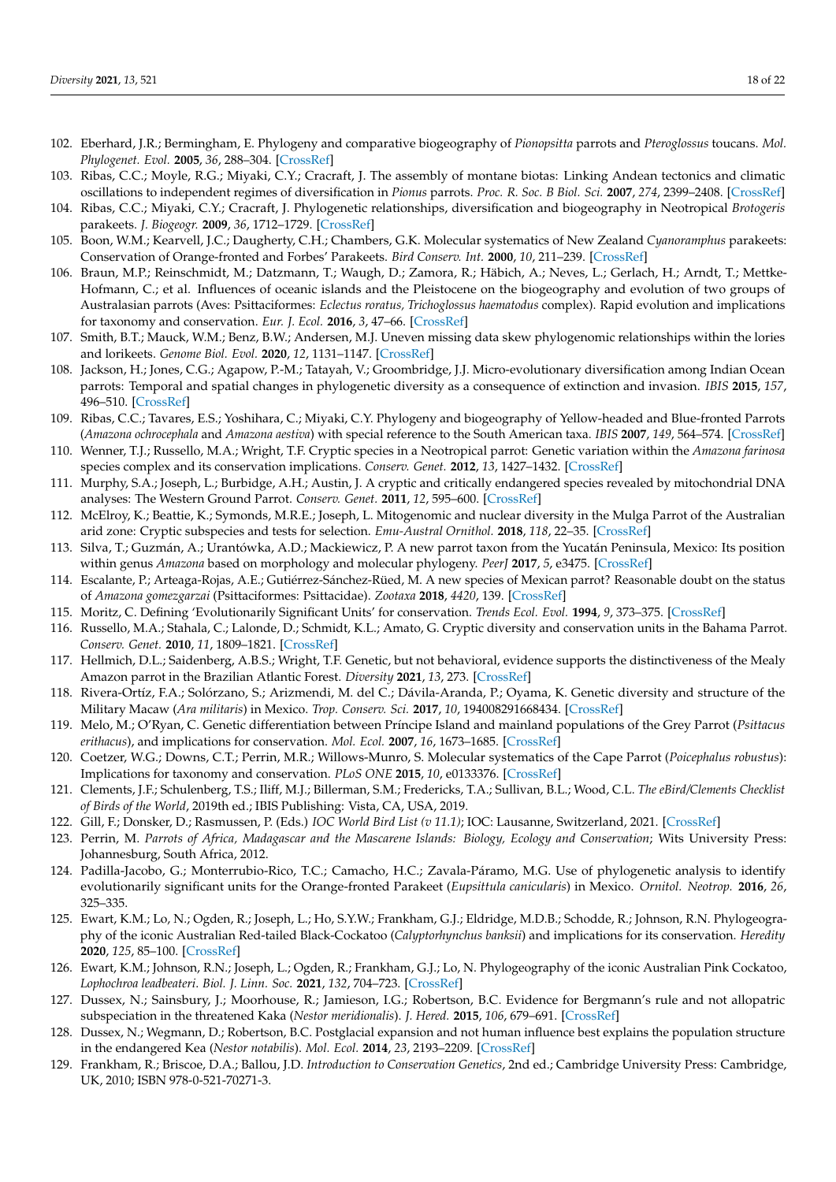- <span id="page-18-0"></span>102. Eberhard, J.R.; Bermingham, E. Phylogeny and comparative biogeography of *Pionopsitta* parrots and *Pteroglossus* toucans. *Mol. Phylogenet. Evol.* **2005**, *36*, 288–304. [\[CrossRef\]](http://doi.org/10.1016/j.ympev.2005.01.022)
- <span id="page-18-1"></span>103. Ribas, C.C.; Moyle, R.G.; Miyaki, C.Y.; Cracraft, J. The assembly of montane biotas: Linking Andean tectonics and climatic oscillations to independent regimes of diversification in *Pionus* parrots. *Proc. R. Soc. B Biol. Sci.* **2007**, *274*, 2399–2408. [\[CrossRef\]](http://doi.org/10.1098/rspb.2007.0613)
- <span id="page-18-2"></span>104. Ribas, C.C.; Miyaki, C.Y.; Cracraft, J. Phylogenetic relationships, diversification and biogeography in Neotropical *Brotogeris* parakeets. *J. Biogeogr.* **2009**, *36*, 1712–1729. [\[CrossRef\]](http://doi.org/10.1111/j.1365-2699.2009.02131.x)
- <span id="page-18-3"></span>105. Boon, W.M.; Kearvell, J.C.; Daugherty, C.H.; Chambers, G.K. Molecular systematics of New Zealand *Cyanoramphus* parakeets: Conservation of Orange-fronted and Forbes' Parakeets. *Bird Conserv. Int.* **2000**, *10*, 211–239. [\[CrossRef\]](http://doi.org/10.1017/S0959270900000198)
- <span id="page-18-4"></span>106. Braun, M.P.; Reinschmidt, M.; Datzmann, T.; Waugh, D.; Zamora, R.; Häbich, A.; Neves, L.; Gerlach, H.; Arndt, T.; Mettke-Hofmann, C.; et al. Influences of oceanic islands and the Pleistocene on the biogeography and evolution of two groups of Australasian parrots (Aves: Psittaciformes: *Eclectus roratus, Trichoglossus haematodus* complex). Rapid evolution and implications for taxonomy and conservation. *Eur. J. Ecol.* **2016**, *3*, 47–66. [\[CrossRef\]](http://doi.org/10.1515/eje-2017-0014)
- <span id="page-18-5"></span>107. Smith, B.T.; Mauck, W.M.; Benz, B.W.; Andersen, M.J. Uneven missing data skew phylogenomic relationships within the lories and lorikeets. *Genome Biol. Evol.* **2020**, *12*, 1131–1147. [\[CrossRef\]](http://doi.org/10.1093/gbe/evaa113)
- <span id="page-18-6"></span>108. Jackson, H.; Jones, C.G.; Agapow, P.-M.; Tatayah, V.; Groombridge, J.J. Micro-evolutionary diversification among Indian Ocean parrots: Temporal and spatial changes in phylogenetic diversity as a consequence of extinction and invasion. *IBIS* **2015**, *157*, 496–510. [\[CrossRef\]](http://doi.org/10.1111/ibi.12275)
- <span id="page-18-7"></span>109. Ribas, C.C.; Tavares, E.S.; Yoshihara, C.; Miyaki, C.Y. Phylogeny and biogeography of Yellow-headed and Blue-fronted Parrots (*Amazona ochrocephala* and *Amazona aestiva*) with special reference to the South American taxa. *IBIS* **2007**, *149*, 564–574. [\[CrossRef\]](http://doi.org/10.1111/j.1474-919X.2007.00681.x)
- <span id="page-18-8"></span>110. Wenner, T.J.; Russello, M.A.; Wright, T.F. Cryptic species in a Neotropical parrot: Genetic variation within the *Amazona farinosa* species complex and its conservation implications. *Conserv. Genet.* **2012**, *13*, 1427–1432. [\[CrossRef\]](http://doi.org/10.1007/s10592-012-0364-8)
- <span id="page-18-9"></span>111. Murphy, S.A.; Joseph, L.; Burbidge, A.H.; Austin, J. A cryptic and critically endangered species revealed by mitochondrial DNA analyses: The Western Ground Parrot. *Conserv. Genet.* **2011**, *12*, 595–600. [\[CrossRef\]](http://doi.org/10.1007/s10592-010-0161-1)
- <span id="page-18-10"></span>112. McElroy, K.; Beattie, K.; Symonds, M.R.E.; Joseph, L. Mitogenomic and nuclear diversity in the Mulga Parrot of the Australian arid zone: Cryptic subspecies and tests for selection. *Emu-Austral Ornithol.* **2018**, *118*, 22–35. [\[CrossRef\]](http://doi.org/10.1080/01584197.2017.1411765)
- <span id="page-18-11"></span>113. Silva, T.; Guzmán, A.; Urantówka, A.D.; Mackiewicz, P. A new parrot taxon from the Yucatán Peninsula, Mexico: Its position within genus *Amazona* based on morphology and molecular phylogeny. *PeerJ* **2017**, *5*, e3475. [\[CrossRef\]](http://doi.org/10.7717/peerj.3475)
- <span id="page-18-12"></span>114. Escalante, P.; Arteaga-Rojas, A.E.; Gutiérrez-Sánchez-Rüed, M. A new species of Mexican parrot? Reasonable doubt on the status of *Amazona gomezgarzai* (Psittaciformes: Psittacidae). *Zootaxa* **2018**, *4420*, 139. [\[CrossRef\]](http://doi.org/10.11646/zootaxa.4420.1.9)
- <span id="page-18-13"></span>115. Moritz, C. Defining 'Evolutionarily Significant Units' for conservation. *Trends Ecol. Evol.* **1994**, *9*, 373–375. [\[CrossRef\]](http://doi.org/10.1016/0169-5347(94)90057-4)
- <span id="page-18-14"></span>116. Russello, M.A.; Stahala, C.; Lalonde, D.; Schmidt, K.L.; Amato, G. Cryptic diversity and conservation units in the Bahama Parrot. *Conserv. Genet.* **2010**, *11*, 1809–1821. [\[CrossRef\]](http://doi.org/10.1007/s10592-010-0074-z)
- <span id="page-18-15"></span>117. Hellmich, D.L.; Saidenberg, A.B.S.; Wright, T.F. Genetic, but not behavioral, evidence supports the distinctiveness of the Mealy Amazon parrot in the Brazilian Atlantic Forest. *Diversity* **2021**, *13*, 273. [\[CrossRef\]](http://doi.org/10.3390/d13060273)
- <span id="page-18-16"></span>118. Rivera-Ortíz, F.A.; Solórzano, S.; Arizmendi, M. del C.; Dávila-Aranda, P.; Oyama, K. Genetic diversity and structure of the Military Macaw (*Ara militaris*) in Mexico. *Trop. Conserv. Sci.* **2017**, *10*, 194008291668434. [\[CrossRef\]](http://doi.org/10.1177/1940082916684346)
- <span id="page-18-17"></span>119. Melo, M.; O'Ryan, C. Genetic differentiation between Príncipe Island and mainland populations of the Grey Parrot (*Psittacus erithacus*), and implications for conservation. *Mol. Ecol.* **2007**, *16*, 1673–1685. [\[CrossRef\]](http://doi.org/10.1111/j.1365-294X.2006.03128.x)
- <span id="page-18-18"></span>120. Coetzer, W.G.; Downs, C.T.; Perrin, M.R.; Willows-Munro, S. Molecular systematics of the Cape Parrot (*Poicephalus robustus*): Implications for taxonomy and conservation. *PLoS ONE* **2015**, *10*, e0133376. [\[CrossRef\]](http://doi.org/10.1371/journal.pone.0133376)
- <span id="page-18-19"></span>121. Clements, J.F.; Schulenberg, T.S.; Iliff, M.J.; Billerman, S.M.; Fredericks, T.A.; Sullivan, B.L.; Wood, C.L. *The eBird/Clements Checklist of Birds of the World*, 2019th ed.; IBIS Publishing: Vista, CA, USA, 2019.
- 122. Gill, F.; Donsker, D.; Rasmussen, P. (Eds.) *IOC World Bird List (v 11.1)*; IOC: Lausanne, Switzerland, 2021. [\[CrossRef\]](http://doi.org/10.14344/IOC.ML.11.1)
- <span id="page-18-20"></span>123. Perrin, M. *Parrots of Africa, Madagascar and the Mascarene Islands: Biology, Ecology and Conservation*; Wits University Press: Johannesburg, South Africa, 2012.
- <span id="page-18-21"></span>124. Padilla-Jacobo, G.; Monterrubio-Rico, T.C.; Camacho, H.C.; Zavala-Páramo, M.G. Use of phylogenetic analysis to identify evolutionarily significant units for the Orange-fronted Parakeet (*Eupsittula canicularis*) in Mexico. *Ornitol. Neotrop.* **2016**, *26*, 325–335.
- <span id="page-18-22"></span>125. Ewart, K.M.; Lo, N.; Ogden, R.; Joseph, L.; Ho, S.Y.W.; Frankham, G.J.; Eldridge, M.D.B.; Schodde, R.; Johnson, R.N. Phylogeography of the iconic Australian Red-tailed Black-Cockatoo (*Calyptorhynchus banksii*) and implications for its conservation. *Heredity* **2020**, *125*, 85–100. [\[CrossRef\]](http://doi.org/10.1038/s41437-020-0315-y)
- <span id="page-18-23"></span>126. Ewart, K.M.; Johnson, R.N.; Joseph, L.; Ogden, R.; Frankham, G.J.; Lo, N. Phylogeography of the iconic Australian Pink Cockatoo, *Lophochroa leadbeateri*. *Biol. J. Linn. Soc.* **2021**, *132*, 704–723. [\[CrossRef\]](http://doi.org/10.1093/biolinnean/blaa225)
- <span id="page-18-24"></span>127. Dussex, N.; Sainsbury, J.; Moorhouse, R.; Jamieson, I.G.; Robertson, B.C. Evidence for Bergmann's rule and not allopatric subspeciation in the threatened Kaka (*Nestor meridionalis*). *J. Hered.* **2015**, *106*, 679–691. [\[CrossRef\]](http://doi.org/10.1093/jhered/esv079)
- <span id="page-18-25"></span>128. Dussex, N.; Wegmann, D.; Robertson, B.C. Postglacial expansion and not human influence best explains the population structure in the endangered Kea (*Nestor notabilis*). *Mol. Ecol.* **2014**, *23*, 2193–2209. [\[CrossRef\]](http://doi.org/10.1111/mec.12729)
- <span id="page-18-26"></span>129. Frankham, R.; Briscoe, D.A.; Ballou, J.D. *Introduction to Conservation Genetics*, 2nd ed.; Cambridge University Press: Cambridge, UK, 2010; ISBN 978-0-521-70271-3.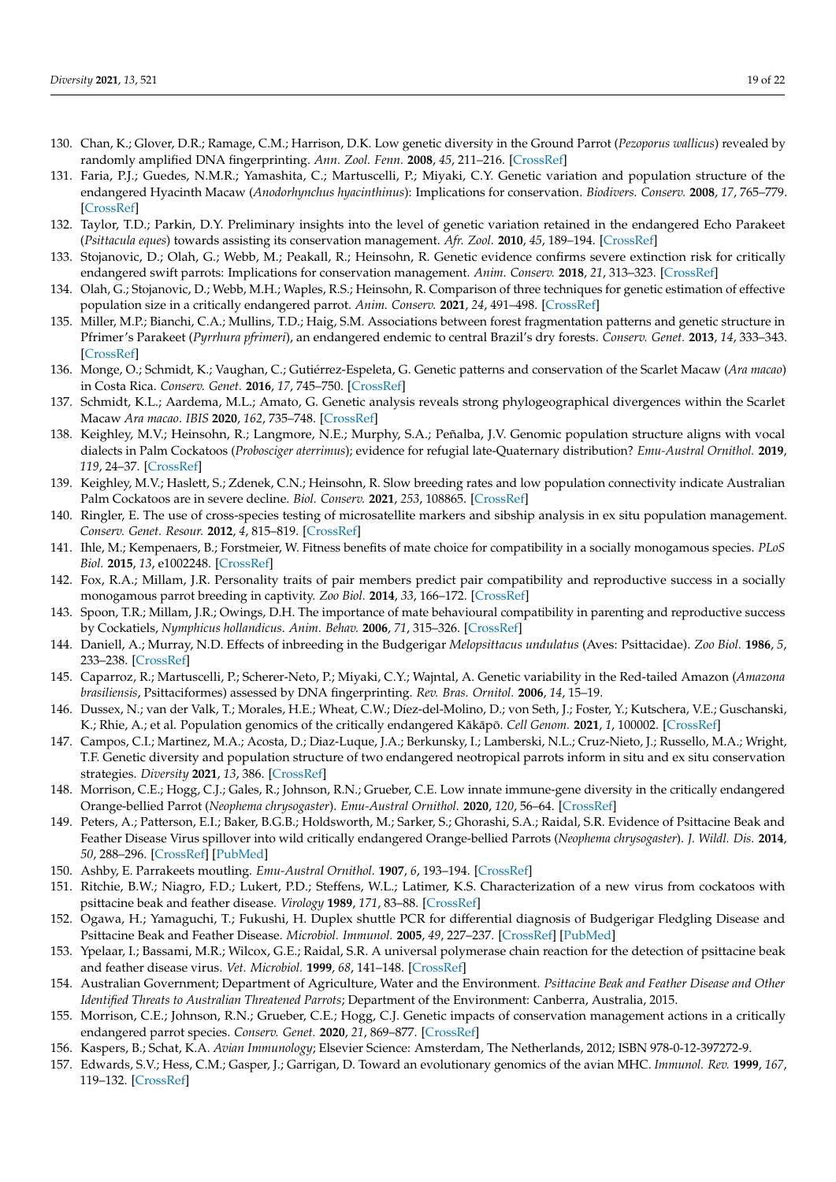- <span id="page-19-0"></span>130. Chan, K.; Glover, D.R.; Ramage, C.M.; Harrison, D.K. Low genetic diversity in the Ground Parrot (*Pezoporus wallicus*) revealed by randomly amplified DNA fingerprinting. *Ann. Zool. Fenn.* **2008**, *45*, 211–216. [\[CrossRef\]](http://doi.org/10.5735/086.045.0306)
- <span id="page-19-1"></span>131. Faria, P.J.; Guedes, N.M.R.; Yamashita, C.; Martuscelli, P.; Miyaki, C.Y. Genetic variation and population structure of the endangered Hyacinth Macaw (*Anodorhynchus hyacinthinus*): Implications for conservation. *Biodivers. Conserv.* **2008**, *17*, 765–779. [\[CrossRef\]](http://doi.org/10.1007/s10531-007-9312-1)
- <span id="page-19-2"></span>132. Taylor, T.D.; Parkin, D.Y. Preliminary insights into the level of genetic variation retained in the endangered Echo Parakeet (*Psittacula eques*) towards assisting its conservation management. *Afr. Zool.* **2010**, *45*, 189–194. [\[CrossRef\]](http://doi.org/10.3377/004.045.0220)
- <span id="page-19-3"></span>133. Stojanovic, D.; Olah, G.; Webb, M.; Peakall, R.; Heinsohn, R. Genetic evidence confirms severe extinction risk for critically endangered swift parrots: Implications for conservation management. *Anim. Conserv.* **2018**, *21*, 313–323. [\[CrossRef\]](http://doi.org/10.1111/acv.12394)
- <span id="page-19-4"></span>134. Olah, G.; Stojanovic, D.; Webb, M.H.; Waples, R.S.; Heinsohn, R. Comparison of three techniques for genetic estimation of effective population size in a critically endangered parrot. *Anim. Conserv.* **2021**, *24*, 491–498. [\[CrossRef\]](http://doi.org/10.1111/acv.12655)
- <span id="page-19-5"></span>135. Miller, M.P.; Bianchi, C.A.; Mullins, T.D.; Haig, S.M. Associations between forest fragmentation patterns and genetic structure in Pfrimer's Parakeet (*Pyrrhura pfrimeri*), an endangered endemic to central Brazil's dry forests. *Conserv. Genet.* **2013**, *14*, 333–343. [\[CrossRef\]](http://doi.org/10.1007/s10592-012-0420-4)
- <span id="page-19-6"></span>136. Monge, O.; Schmidt, K.; Vaughan, C.; Gutiérrez-Espeleta, G. Genetic patterns and conservation of the Scarlet Macaw (*Ara macao*) in Costa Rica. *Conserv. Genet.* **2016**, *17*, 745–750. [\[CrossRef\]](http://doi.org/10.1007/s10592-015-0804-3)
- <span id="page-19-7"></span>137. Schmidt, K.L.; Aardema, M.L.; Amato, G. Genetic analysis reveals strong phylogeographical divergences within the Scarlet Macaw *Ara macao*. *IBIS* **2020**, *162*, 735–748. [\[CrossRef\]](http://doi.org/10.1111/ibi.12760)
- <span id="page-19-8"></span>138. Keighley, M.V.; Heinsohn, R.; Langmore, N.E.; Murphy, S.A.; Peñalba, J.V. Genomic population structure aligns with vocal dialects in Palm Cockatoos (*Probosciger aterrimus*); evidence for refugial late-Quaternary distribution? *Emu-Austral Ornithol.* **2019**, *119*, 24–37. [\[CrossRef\]](http://doi.org/10.1080/01584197.2018.1483731)
- <span id="page-19-9"></span>139. Keighley, M.V.; Haslett, S.; Zdenek, C.N.; Heinsohn, R. Slow breeding rates and low population connectivity indicate Australian Palm Cockatoos are in severe decline. *Biol. Conserv.* **2021**, *253*, 108865. [\[CrossRef\]](http://doi.org/10.1016/j.biocon.2020.108865)
- <span id="page-19-10"></span>140. Ringler, E. The use of cross-species testing of microsatellite markers and sibship analysis in ex situ population management. *Conserv. Genet. Resour.* **2012**, *4*, 815–819. [\[CrossRef\]](http://doi.org/10.1007/s12686-012-9642-5)
- <span id="page-19-11"></span>141. Ihle, M.; Kempenaers, B.; Forstmeier, W. Fitness benefits of mate choice for compatibility in a socially monogamous species. *PLoS Biol.* **2015**, *13*, e1002248. [\[CrossRef\]](http://doi.org/10.1371/journal.pbio.1002248)
- <span id="page-19-12"></span>142. Fox, R.A.; Millam, J.R. Personality traits of pair members predict pair compatibility and reproductive success in a socially monogamous parrot breeding in captivity. *Zoo Biol.* **2014**, *33*, 166–172. [\[CrossRef\]](http://doi.org/10.1002/zoo.21121)
- <span id="page-19-13"></span>143. Spoon, T.R.; Millam, J.R.; Owings, D.H. The importance of mate behavioural compatibility in parenting and reproductive success by Cockatiels, *Nymphicus hollandicus*. *Anim. Behav.* **2006**, *71*, 315–326. [\[CrossRef\]](http://doi.org/10.1016/j.anbehav.2005.03.034)
- <span id="page-19-14"></span>144. Daniell, A.; Murray, N.D. Effects of inbreeding in the Budgerigar *Melopsittacus undulatus* (Aves: Psittacidae). *Zoo Biol.* **1986**, *5*, 233–238. [\[CrossRef\]](http://doi.org/10.1002/zoo.1430050216)
- <span id="page-19-15"></span>145. Caparroz, R.; Martuscelli, P.; Scherer-Neto, P.; Miyaki, C.Y.; Wajntal, A. Genetic variability in the Red-tailed Amazon (*Amazona brasiliensis*, Psittaciformes) assessed by DNA fingerprinting. *Rev. Bras. Ornitol.* **2006**, *14*, 15–19.
- <span id="page-19-16"></span>146. Dussex, N.; van der Valk, T.; Morales, H.E.; Wheat, C.W.; Díez-del-Molino, D.; von Seth, J.; Foster, Y.; Kutschera, V.E.; Guschanski, K.; Rhie, A.; et al. Population genomics of the critically endangered Kākāpō. Cell Genom. 2021, 1, 100002. [\[CrossRef\]](http://doi.org/10.1016/j.xgen.2021.100002)
- <span id="page-19-17"></span>147. Campos, C.I.; Martinez, M.A.; Acosta, D.; Diaz-Luque, J.A.; Berkunsky, I.; Lamberski, N.L.; Cruz-Nieto, J.; Russello, M.A.; Wright, T.F. Genetic diversity and population structure of two endangered neotropical parrots inform in situ and ex situ conservation strategies. *Diversity* **2021**, *13*, 386. [\[CrossRef\]](http://doi.org/10.3390/d13080386)
- <span id="page-19-18"></span>148. Morrison, C.E.; Hogg, C.J.; Gales, R.; Johnson, R.N.; Grueber, C.E. Low innate immune-gene diversity in the critically endangered Orange-bellied Parrot (*Neophema chrysogaster*). *Emu-Austral Ornithol.* **2020**, *120*, 56–64. [\[CrossRef\]](http://doi.org/10.1080/01584197.2019.1686994)
- <span id="page-19-19"></span>149. Peters, A.; Patterson, E.I.; Baker, B.G.B.; Holdsworth, M.; Sarker, S.; Ghorashi, S.A.; Raidal, S.R. Evidence of Psittacine Beak and Feather Disease Virus spillover into wild critically endangered Orange-bellied Parrots (*Neophema chrysogaster*). *J. Wildl. Dis.* **2014**, *50*, 288–296. [\[CrossRef\]](http://doi.org/10.7589/2013-05-121) [\[PubMed\]](http://www.ncbi.nlm.nih.gov/pubmed/24484492)
- <span id="page-19-20"></span>150. Ashby, E. Parrakeets moutling. *Emu-Austral Ornithol.* **1907**, *6*, 193–194. [\[CrossRef\]](http://doi.org/10.1071/MU906192f)
- <span id="page-19-21"></span>151. Ritchie, B.W.; Niagro, F.D.; Lukert, P.D.; Steffens, W.L.; Latimer, K.S. Characterization of a new virus from cockatoos with psittacine beak and feather disease. *Virology* **1989**, *171*, 83–88. [\[CrossRef\]](http://doi.org/10.1016/0042-6822(89)90513-8)
- <span id="page-19-22"></span>152. Ogawa, H.; Yamaguchi, T.; Fukushi, H. Duplex shuttle PCR for differential diagnosis of Budgerigar Fledgling Disease and Psittacine Beak and Feather Disease. *Microbiol. Immunol.* **2005**, *49*, 227–237. [\[CrossRef\]](http://doi.org/10.1111/j.1348-0421.2005.tb03724.x) [\[PubMed\]](http://www.ncbi.nlm.nih.gov/pubmed/15781996)
- <span id="page-19-23"></span>153. Ypelaar, I.; Bassami, M.R.; Wilcox, G.E.; Raidal, S.R. A universal polymerase chain reaction for the detection of psittacine beak and feather disease virus. *Vet. Microbiol.* **1999**, *68*, 141–148. [\[CrossRef\]](http://doi.org/10.1016/S0378-1135(99)00070-X)
- <span id="page-19-24"></span>154. Australian Government; Department of Agriculture, Water and the Environment. *Psittacine Beak and Feather Disease and Other Identified Threats to Australian Threatened Parrots*; Department of the Environment: Canberra, Australia, 2015.
- <span id="page-19-25"></span>155. Morrison, C.E.; Johnson, R.N.; Grueber, C.E.; Hogg, C.J. Genetic impacts of conservation management actions in a critically endangered parrot species. *Conserv. Genet.* **2020**, *21*, 869–877. [\[CrossRef\]](http://doi.org/10.1007/s10592-020-01292-4)
- <span id="page-19-26"></span>156. Kaspers, B.; Schat, K.A. *Avian Immunology*; Elsevier Science: Amsterdam, The Netherlands, 2012; ISBN 978-0-12-397272-9.
- <span id="page-19-27"></span>157. Edwards, S.V.; Hess, C.M.; Gasper, J.; Garrigan, D. Toward an evolutionary genomics of the avian MHC. *Immunol. Rev.* **1999**, *167*, 119–132. [\[CrossRef\]](http://doi.org/10.1111/j.1600-065X.1999.tb01386.x)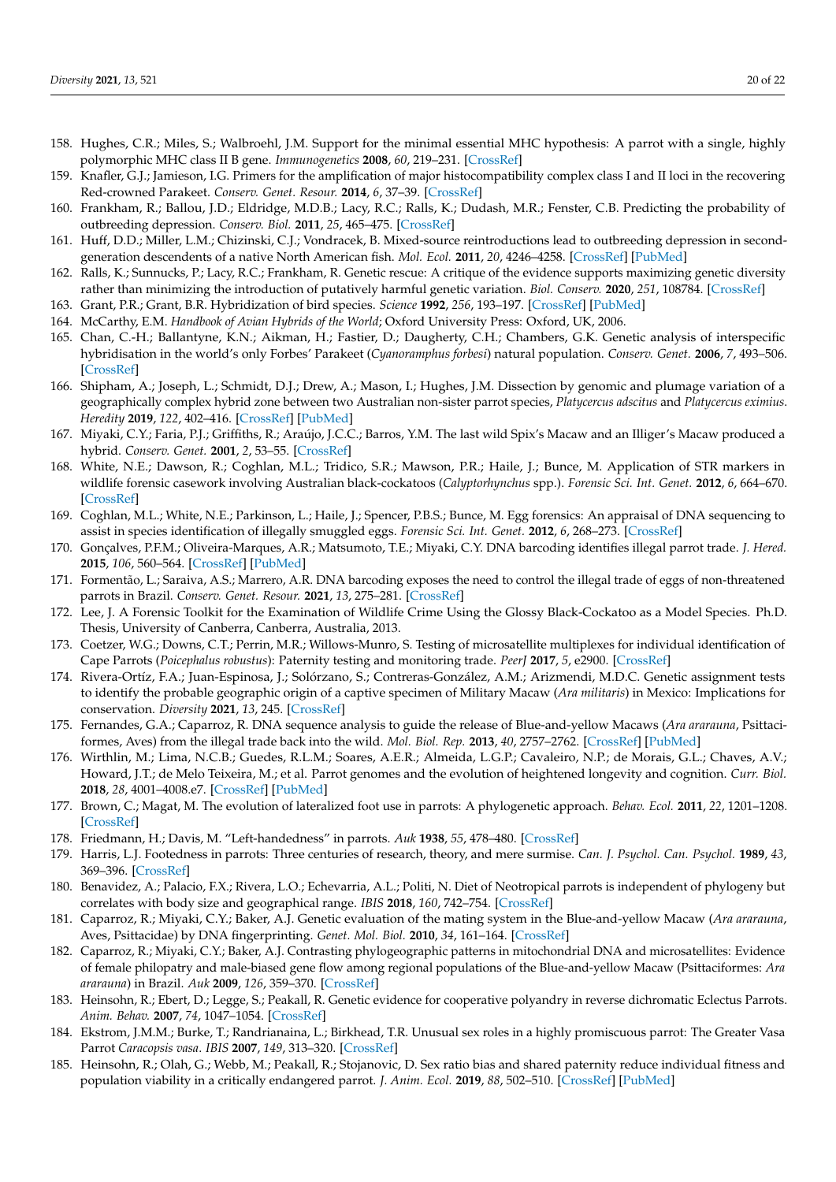- <span id="page-20-0"></span>158. Hughes, C.R.; Miles, S.; Walbroehl, J.M. Support for the minimal essential MHC hypothesis: A parrot with a single, highly polymorphic MHC class II B gene. *Immunogenetics* **2008**, *60*, 219–231. [\[CrossRef\]](http://doi.org/10.1007/s00251-008-0287-1)
- <span id="page-20-1"></span>159. Knafler, G.J.; Jamieson, I.G. Primers for the amplification of major histocompatibility complex class I and II loci in the recovering Red-crowned Parakeet. *Conserv. Genet. Resour.* **2014**, *6*, 37–39. [\[CrossRef\]](http://doi.org/10.1007/s12686-013-0063-x)
- <span id="page-20-2"></span>160. Frankham, R.; Ballou, J.D.; Eldridge, M.D.B.; Lacy, R.C.; Ralls, K.; Dudash, M.R.; Fenster, C.B. Predicting the probability of outbreeding depression. *Conserv. Biol.* **2011**, *25*, 465–475. [\[CrossRef\]](http://doi.org/10.1111/j.1523-1739.2011.01662.x)
- <span id="page-20-3"></span>161. Huff, D.D.; Miller, L.M.; Chizinski, C.J.; Vondracek, B. Mixed-source reintroductions lead to outbreeding depression in secondgeneration descendents of a native North American fish. *Mol. Ecol.* **2011**, *20*, 4246–4258. [\[CrossRef\]](http://doi.org/10.1111/j.1365-294X.2011.05271.x) [\[PubMed\]](http://www.ncbi.nlm.nih.gov/pubmed/21917046)
- <span id="page-20-4"></span>162. Ralls, K.; Sunnucks, P.; Lacy, R.C.; Frankham, R. Genetic rescue: A critique of the evidence supports maximizing genetic diversity rather than minimizing the introduction of putatively harmful genetic variation. *Biol. Conserv.* **2020**, *251*, 108784. [\[CrossRef\]](http://doi.org/10.1016/j.biocon.2020.108784)
- <span id="page-20-5"></span>163. Grant, P.R.; Grant, B.R. Hybridization of bird species. *Science* **1992**, *256*, 193–197. [\[CrossRef\]](http://doi.org/10.1126/science.256.5054.193) [\[PubMed\]](http://www.ncbi.nlm.nih.gov/pubmed/17744718)
- <span id="page-20-6"></span>164. McCarthy, E.M. *Handbook of Avian Hybrids of the World*; Oxford University Press: Oxford, UK, 2006.
- <span id="page-20-7"></span>165. Chan, C.-H.; Ballantyne, K.N.; Aikman, H.; Fastier, D.; Daugherty, C.H.; Chambers, G.K. Genetic analysis of interspecific hybridisation in the world's only Forbes' Parakeet (*Cyanoramphus forbesi*) natural population. *Conserv. Genet.* **2006**, *7*, 493–506. [\[CrossRef\]](http://doi.org/10.1007/s10592-005-9060-2)
- <span id="page-20-8"></span>166. Shipham, A.; Joseph, L.; Schmidt, D.J.; Drew, A.; Mason, I.; Hughes, J.M. Dissection by genomic and plumage variation of a geographically complex hybrid zone between two Australian non-sister parrot species, *Platycercus adscitus* and *Platycercus eximius*. *Heredity* **2019**, *122*, 402–416. [\[CrossRef\]](http://doi.org/10.1038/s41437-018-0127-5) [\[PubMed\]](http://www.ncbi.nlm.nih.gov/pubmed/30082918)
- <span id="page-20-9"></span>167. Miyaki, C.Y.; Faria, P.J.; Griffiths, R.; Araújo, J.C.C.; Barros, Y.M. The last wild Spix's Macaw and an Illiger's Macaw produced a hybrid. *Conserv. Genet.* **2001**, *2*, 53–55. [\[CrossRef\]](http://doi.org/10.1023/A:1011584225656)
- <span id="page-20-10"></span>168. White, N.E.; Dawson, R.; Coghlan, M.L.; Tridico, S.R.; Mawson, P.R.; Haile, J.; Bunce, M. Application of STR markers in wildlife forensic casework involving Australian black-cockatoos (*Calyptorhynchus* spp.). *Forensic Sci. Int. Genet.* **2012**, *6*, 664–670. [\[CrossRef\]](http://doi.org/10.1016/j.fsigen.2011.10.003)
- <span id="page-20-11"></span>169. Coghlan, M.L.; White, N.E.; Parkinson, L.; Haile, J.; Spencer, P.B.S.; Bunce, M. Egg forensics: An appraisal of DNA sequencing to assist in species identification of illegally smuggled eggs. *Forensic Sci. Int. Genet.* **2012**, *6*, 268–273. [\[CrossRef\]](http://doi.org/10.1016/j.fsigen.2011.06.006)
- <span id="page-20-12"></span>170. Gonçalves, P.F.M.; Oliveira-Marques, A.R.; Matsumoto, T.E.; Miyaki, C.Y. DNA barcoding identifies illegal parrot trade. *J. Hered.* **2015**, *106*, 560–564. [\[CrossRef\]](http://doi.org/10.1093/jhered/esv035) [\[PubMed\]](http://www.ncbi.nlm.nih.gov/pubmed/26245790)
- <span id="page-20-13"></span>171. Formentão, L.; Saraiva, A.S.; Marrero, A.R. DNA barcoding exposes the need to control the illegal trade of eggs of non-threatened parrots in Brazil. *Conserv. Genet. Resour.* **2021**, *13*, 275–281. [\[CrossRef\]](http://doi.org/10.1007/s12686-021-01209-4)
- <span id="page-20-14"></span>172. Lee, J. A Forensic Toolkit for the Examination of Wildlife Crime Using the Glossy Black-Cockatoo as a Model Species. Ph.D. Thesis, University of Canberra, Canberra, Australia, 2013.
- <span id="page-20-15"></span>173. Coetzer, W.G.; Downs, C.T.; Perrin, M.R.; Willows-Munro, S. Testing of microsatellite multiplexes for individual identification of Cape Parrots (*Poicephalus robustus*): Paternity testing and monitoring trade. *PeerJ* **2017**, *5*, e2900. [\[CrossRef\]](http://doi.org/10.7717/peerj.2900)
- <span id="page-20-16"></span>174. Rivera-Ortíz, F.A.; Juan-Espinosa, J.; Solórzano, S.; Contreras-González, A.M.; Arizmendi, M.D.C. Genetic assignment tests to identify the probable geographic origin of a captive specimen of Military Macaw (*Ara militaris*) in Mexico: Implications for conservation. *Diversity* **2021**, *13*, 245. [\[CrossRef\]](http://doi.org/10.3390/d13060245)
- <span id="page-20-17"></span>175. Fernandes, G.A.; Caparroz, R. DNA sequence analysis to guide the release of Blue-and-yellow Macaws (*Ara ararauna*, Psittaciformes, Aves) from the illegal trade back into the wild. *Mol. Biol. Rep.* **2013**, *40*, 2757–2762. [\[CrossRef\]](http://doi.org/10.1007/s11033-012-2294-4) [\[PubMed\]](http://www.ncbi.nlm.nih.gov/pubmed/23184047)
- <span id="page-20-18"></span>176. Wirthlin, M.; Lima, N.C.B.; Guedes, R.L.M.; Soares, A.E.R.; Almeida, L.G.P.; Cavaleiro, N.P.; de Morais, G.L.; Chaves, A.V.; Howard, J.T.; de Melo Teixeira, M.; et al. Parrot genomes and the evolution of heightened longevity and cognition. *Curr. Biol.* **2018**, *28*, 4001–4008.e7. [\[CrossRef\]](http://doi.org/10.1016/j.cub.2018.10.050) [\[PubMed\]](http://www.ncbi.nlm.nih.gov/pubmed/30528582)
- <span id="page-20-19"></span>177. Brown, C.; Magat, M. The evolution of lateralized foot use in parrots: A phylogenetic approach. *Behav. Ecol.* **2011**, *22*, 1201–1208. [\[CrossRef\]](http://doi.org/10.1093/beheco/arr114)
- <span id="page-20-20"></span>178. Friedmann, H.; Davis, M. "Left-handedness" in parrots. *Auk* **1938**, *55*, 478–480. [\[CrossRef\]](http://doi.org/10.2307/4078415)
- <span id="page-20-21"></span>179. Harris, L.J. Footedness in parrots: Three centuries of research, theory, and mere surmise. *Can. J. Psychol. Can. Psychol.* **1989**, *43*, 369–396. [\[CrossRef\]](http://doi.org/10.1037/h0084228)
- <span id="page-20-22"></span>180. Benavidez, A.; Palacio, F.X.; Rivera, L.O.; Echevarria, A.L.; Politi, N. Diet of Neotropical parrots is independent of phylogeny but correlates with body size and geographical range. *IBIS* **2018**, *160*, 742–754. [\[CrossRef\]](http://doi.org/10.1111/ibi.12630)
- <span id="page-20-23"></span>181. Caparroz, R.; Miyaki, C.Y.; Baker, A.J. Genetic evaluation of the mating system in the Blue-and-yellow Macaw (*Ara ararauna*, Aves, Psittacidae) by DNA fingerprinting. *Genet. Mol. Biol.* **2010**, *34*, 161–164. [\[CrossRef\]](http://doi.org/10.1590/S1415-47572010005000112)
- <span id="page-20-24"></span>182. Caparroz, R.; Miyaki, C.Y.; Baker, A.J. Contrasting phylogeographic patterns in mitochondrial DNA and microsatellites: Evidence of female philopatry and male-biased gene flow among regional populations of the Blue-and-yellow Macaw (Psittaciformes: *Ara ararauna*) in Brazil. *Auk* **2009**, *126*, 359–370. [\[CrossRef\]](http://doi.org/10.1525/auk.2009.07183)
- <span id="page-20-25"></span>183. Heinsohn, R.; Ebert, D.; Legge, S.; Peakall, R. Genetic evidence for cooperative polyandry in reverse dichromatic Eclectus Parrots. *Anim. Behav.* **2007**, *74*, 1047–1054. [\[CrossRef\]](http://doi.org/10.1016/j.anbehav.2007.01.026)
- <span id="page-20-26"></span>184. Ekstrom, J.M.M.; Burke, T.; Randrianaina, L.; Birkhead, T.R. Unusual sex roles in a highly promiscuous parrot: The Greater Vasa Parrot *Caracopsis vasa*. *IBIS* **2007**, *149*, 313–320. [\[CrossRef\]](http://doi.org/10.1111/j.1474-919X.2006.00632.x)
- <span id="page-20-27"></span>185. Heinsohn, R.; Olah, G.; Webb, M.; Peakall, R.; Stojanovic, D. Sex ratio bias and shared paternity reduce individual fitness and population viability in a critically endangered parrot. *J. Anim. Ecol.* **2019**, *88*, 502–510. [\[CrossRef\]](http://doi.org/10.1111/1365-2656.12922) [\[PubMed\]](http://www.ncbi.nlm.nih.gov/pubmed/30511387)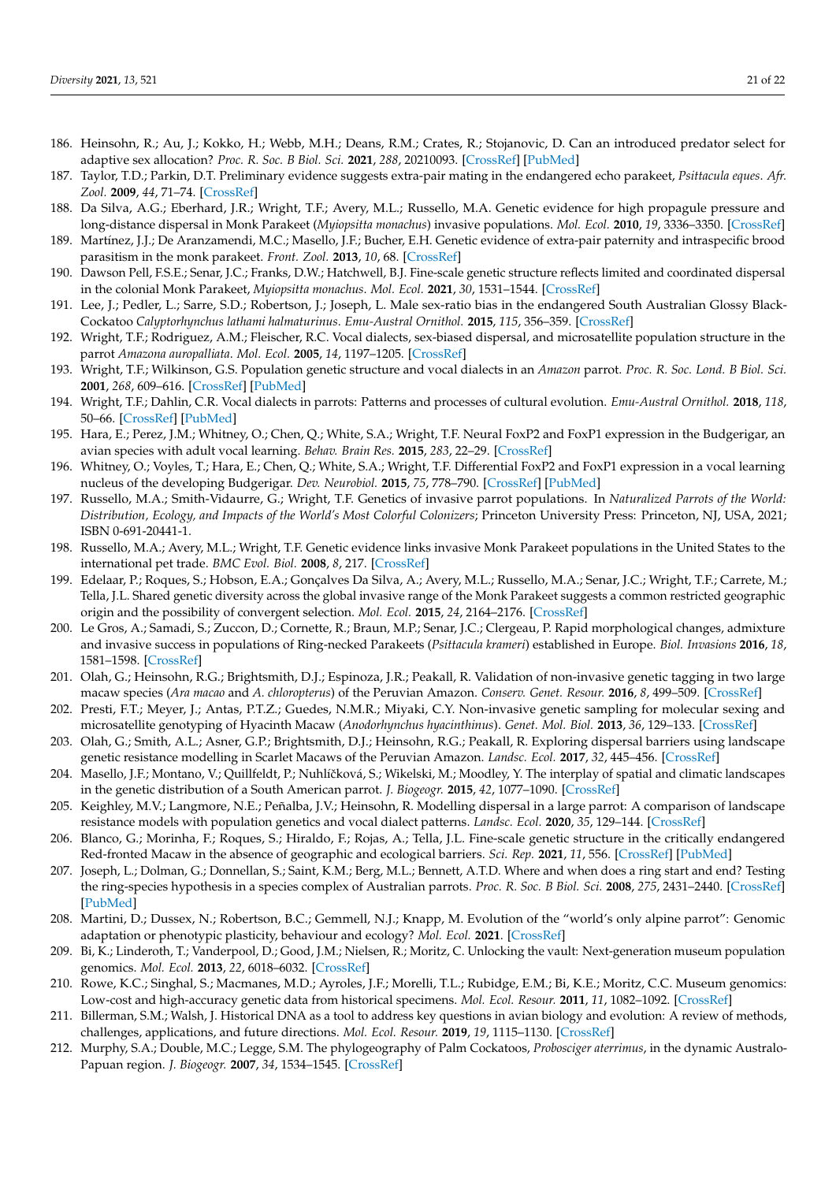- <span id="page-21-0"></span>186. Heinsohn, R.; Au, J.; Kokko, H.; Webb, M.H.; Deans, R.M.; Crates, R.; Stojanovic, D. Can an introduced predator select for adaptive sex allocation? *Proc. R. Soc. B Biol. Sci.* **2021**, *288*, 20210093. [\[CrossRef\]](http://doi.org/10.1098/rspb.2021.0093) [\[PubMed\]](http://www.ncbi.nlm.nih.gov/pubmed/33906398)
- <span id="page-21-1"></span>187. Taylor, T.D.; Parkin, D.T. Preliminary evidence suggests extra-pair mating in the endangered echo parakeet, *Psittacula eques*. *Afr. Zool.* **2009**, *44*, 71–74. [\[CrossRef\]](http://doi.org/10.1080/15627020.2009.11407440)
- <span id="page-21-2"></span>188. Da Silva, A.G.; Eberhard, J.R.; Wright, T.F.; Avery, M.L.; Russello, M.A. Genetic evidence for high propagule pressure and long-distance dispersal in Monk Parakeet (*Myiopsitta monachus*) invasive populations. *Mol. Ecol.* **2010**, *19*, 3336–3350. [\[CrossRef\]](http://doi.org/10.1111/j.1365-294X.2010.04749.x)
- <span id="page-21-3"></span>189. Martínez, J.J.; De Aranzamendi, M.C.; Masello, J.F.; Bucher, E.H. Genetic evidence of extra-pair paternity and intraspecific brood parasitism in the monk parakeet. *Front. Zool.* **2013**, *10*, 68. [\[CrossRef\]](http://doi.org/10.1186/1742-9994-10-68)
- <span id="page-21-4"></span>190. Dawson Pell, F.S.E.; Senar, J.C.; Franks, D.W.; Hatchwell, B.J. Fine-scale genetic structure reflects limited and coordinated dispersal in the colonial Monk Parakeet, *Myiopsitta monachus*. *Mol. Ecol.* **2021**, *30*, 1531–1544. [\[CrossRef\]](http://doi.org/10.1111/mec.15818)
- <span id="page-21-5"></span>191. Lee, J.; Pedler, L.; Sarre, S.D.; Robertson, J.; Joseph, L. Male sex-ratio bias in the endangered South Australian Glossy Black-Cockatoo *Calyptorhynchus lathami halmaturinus*. *Emu-Austral Ornithol.* **2015**, *115*, 356–359. [\[CrossRef\]](http://doi.org/10.1071/MU14107)
- <span id="page-21-6"></span>192. Wright, T.F.; Rodriguez, A.M.; Fleischer, R.C. Vocal dialects, sex-biased dispersal, and microsatellite population structure in the parrot *Amazona auropalliata*. *Mol. Ecol.* **2005**, *14*, 1197–1205. [\[CrossRef\]](http://doi.org/10.1111/j.1365-294X.2005.02466.x)
- <span id="page-21-7"></span>193. Wright, T.F.; Wilkinson, G.S. Population genetic structure and vocal dialects in an *Amazon* parrot. *Proc. R. Soc. Lond. B Biol. Sci.* **2001**, *268*, 609–616. [\[CrossRef\]](http://doi.org/10.1098/rspb.2000.1403) [\[PubMed\]](http://www.ncbi.nlm.nih.gov/pubmed/11297178)
- <span id="page-21-8"></span>194. Wright, T.F.; Dahlin, C.R. Vocal dialects in parrots: Patterns and processes of cultural evolution. *Emu-Austral Ornithol.* **2018**, *118*, 50–66. [\[CrossRef\]](http://doi.org/10.1080/01584197.2017.1379356) [\[PubMed\]](http://www.ncbi.nlm.nih.gov/pubmed/29962561)
- <span id="page-21-9"></span>195. Hara, E.; Perez, J.M.; Whitney, O.; Chen, Q.; White, S.A.; Wright, T.F. Neural FoxP2 and FoxP1 expression in the Budgerigar, an avian species with adult vocal learning. *Behav. Brain Res.* **2015**, *283*, 22–29. [\[CrossRef\]](http://doi.org/10.1016/j.bbr.2015.01.017)
- <span id="page-21-10"></span>196. Whitney, O.; Voyles, T.; Hara, E.; Chen, Q.; White, S.A.; Wright, T.F. Differential FoxP2 and FoxP1 expression in a vocal learning nucleus of the developing Budgerigar. *Dev. Neurobiol.* **2015**, *75*, 778–790. [\[CrossRef\]](http://doi.org/10.1002/dneu.22247) [\[PubMed\]](http://www.ncbi.nlm.nih.gov/pubmed/25407828)
- <span id="page-21-11"></span>197. Russello, M.A.; Smith-Vidaurre, G.; Wright, T.F. Genetics of invasive parrot populations. In *Naturalized Parrots of the World: Distribution, Ecology, and Impacts of the World's Most Colorful Colonizers*; Princeton University Press: Princeton, NJ, USA, 2021; ISBN 0-691-20441-1.
- <span id="page-21-12"></span>198. Russello, M.A.; Avery, M.L.; Wright, T.F. Genetic evidence links invasive Monk Parakeet populations in the United States to the international pet trade. *BMC Evol. Biol.* **2008**, *8*, 217. [\[CrossRef\]](http://doi.org/10.1186/1471-2148-8-217)
- <span id="page-21-13"></span>199. Edelaar, P.; Roques, S.; Hobson, E.A.; Gonçalves Da Silva, A.; Avery, M.L.; Russello, M.A.; Senar, J.C.; Wright, T.F.; Carrete, M.; Tella, J.L. Shared genetic diversity across the global invasive range of the Monk Parakeet suggests a common restricted geographic origin and the possibility of convergent selection. *Mol. Ecol.* **2015**, *24*, 2164–2176. [\[CrossRef\]](http://doi.org/10.1111/mec.13157)
- <span id="page-21-14"></span>200. Le Gros, A.; Samadi, S.; Zuccon, D.; Cornette, R.; Braun, M.P.; Senar, J.C.; Clergeau, P. Rapid morphological changes, admixture and invasive success in populations of Ring-necked Parakeets (*Psittacula krameri*) established in Europe. *Biol. Invasions* **2016**, *18*, 1581–1598. [\[CrossRef\]](http://doi.org/10.1007/s10530-016-1103-8)
- <span id="page-21-15"></span>201. Olah, G.; Heinsohn, R.G.; Brightsmith, D.J.; Espinoza, J.R.; Peakall, R. Validation of non-invasive genetic tagging in two large macaw species (*Ara macao* and *A. chloropterus*) of the Peruvian Amazon. *Conserv. Genet. Resour.* **2016**, *8*, 499–509. [\[CrossRef\]](http://doi.org/10.1007/s12686-016-0573-4)
- <span id="page-21-16"></span>202. Presti, F.T.; Meyer, J.; Antas, P.T.Z.; Guedes, N.M.R.; Miyaki, C.Y. Non-invasive genetic sampling for molecular sexing and microsatellite genotyping of Hyacinth Macaw (*Anodorhynchus hyacinthinus*). *Genet. Mol. Biol.* **2013**, *36*, 129–133. [\[CrossRef\]](http://doi.org/10.1590/S1415-47572013005000001)
- <span id="page-21-17"></span>203. Olah, G.; Smith, A.L.; Asner, G.P.; Brightsmith, D.J.; Heinsohn, R.G.; Peakall, R. Exploring dispersal barriers using landscape genetic resistance modelling in Scarlet Macaws of the Peruvian Amazon. *Landsc. Ecol.* **2017**, *32*, 445–456. [\[CrossRef\]](http://doi.org/10.1007/s10980-016-0457-8)
- <span id="page-21-18"></span>204. Masello, J.F.; Montano, V.; Quillfeldt, P.; Nuhlíčková, S.; Wikelski, M.; Moodley, Y. The interplay of spatial and climatic landscapes in the genetic distribution of a South American parrot. *J. Biogeogr.* **2015**, *42*, 1077–1090. [\[CrossRef\]](http://doi.org/10.1111/jbi.12487)
- <span id="page-21-19"></span>205. Keighley, M.V.; Langmore, N.E.; Peñalba, J.V.; Heinsohn, R. Modelling dispersal in a large parrot: A comparison of landscape resistance models with population genetics and vocal dialect patterns. *Landsc. Ecol.* **2020**, *35*, 129–144. [\[CrossRef\]](http://doi.org/10.1007/s10980-019-00938-0)
- <span id="page-21-20"></span>206. Blanco, G.; Morinha, F.; Roques, S.; Hiraldo, F.; Rojas, A.; Tella, J.L. Fine-scale genetic structure in the critically endangered Red-fronted Macaw in the absence of geographic and ecological barriers. *Sci. Rep.* **2021**, *11*, 556. [\[CrossRef\]](http://doi.org/10.1038/s41598-020-79575-6) [\[PubMed\]](http://www.ncbi.nlm.nih.gov/pubmed/33436676)
- <span id="page-21-21"></span>207. Joseph, L.; Dolman, G.; Donnellan, S.; Saint, K.M.; Berg, M.L.; Bennett, A.T.D. Where and when does a ring start and end? Testing the ring-species hypothesis in a species complex of Australian parrots. *Proc. R. Soc. B Biol. Sci.* **2008**, *275*, 2431–2440. [\[CrossRef\]](http://doi.org/10.1098/rspb.2008.0765) [\[PubMed\]](http://www.ncbi.nlm.nih.gov/pubmed/18664434)
- <span id="page-21-22"></span>208. Martini, D.; Dussex, N.; Robertson, B.C.; Gemmell, N.J.; Knapp, M. Evolution of the "world's only alpine parrot": Genomic adaptation or phenotypic plasticity, behaviour and ecology? *Mol. Ecol.* **2021**. [\[CrossRef\]](http://doi.org/10.1111/mec.15978)
- <span id="page-21-23"></span>209. Bi, K.; Linderoth, T.; Vanderpool, D.; Good, J.M.; Nielsen, R.; Moritz, C. Unlocking the vault: Next-generation museum population genomics. *Mol. Ecol.* **2013**, *22*, 6018–6032. [\[CrossRef\]](http://doi.org/10.1111/mec.12516)
- <span id="page-21-24"></span>210. Rowe, K.C.; Singhal, S.; Macmanes, M.D.; Ayroles, J.F.; Morelli, T.L.; Rubidge, E.M.; Bi, K.E.; Moritz, C.C. Museum genomics: Low-cost and high-accuracy genetic data from historical specimens. *Mol. Ecol. Resour.* **2011**, *11*, 1082–1092. [\[CrossRef\]](http://doi.org/10.1111/j.1755-0998.2011.03052.x)
- <span id="page-21-25"></span>211. Billerman, S.M.; Walsh, J. Historical DNA as a tool to address key questions in avian biology and evolution: A review of methods, challenges, applications, and future directions. *Mol. Ecol. Resour.* **2019**, *19*, 1115–1130. [\[CrossRef\]](http://doi.org/10.1111/1755-0998.13066)
- <span id="page-21-26"></span>212. Murphy, S.A.; Double, M.C.; Legge, S.M. The phylogeography of Palm Cockatoos, *Probosciger aterrimus*, in the dynamic Australo-Papuan region. *J. Biogeogr.* **2007**, *34*, 1534–1545. [\[CrossRef\]](http://doi.org/10.1111/j.1365-2699.2007.01706.x)